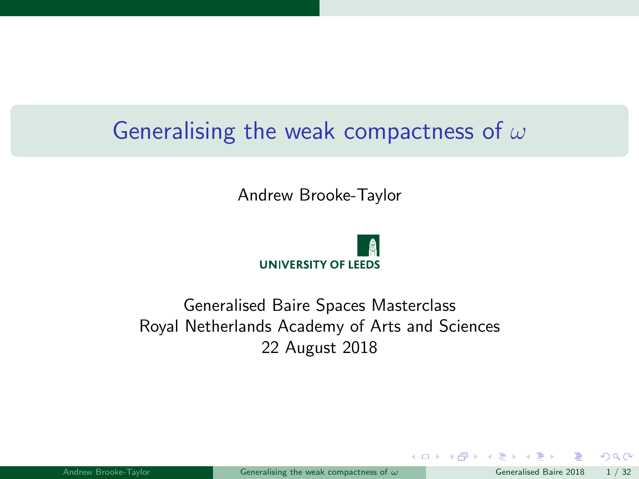# <span id="page-0-0"></span>Generalising the weak compactness of  $\omega$

Andrew Brooke-Taylor



#### Generalised Baire Spaces Masterclass Royal Netherlands Academy of Arts and Sciences 22 August 2018

 $\Omega$ 

イロト イ押ト イヨト イ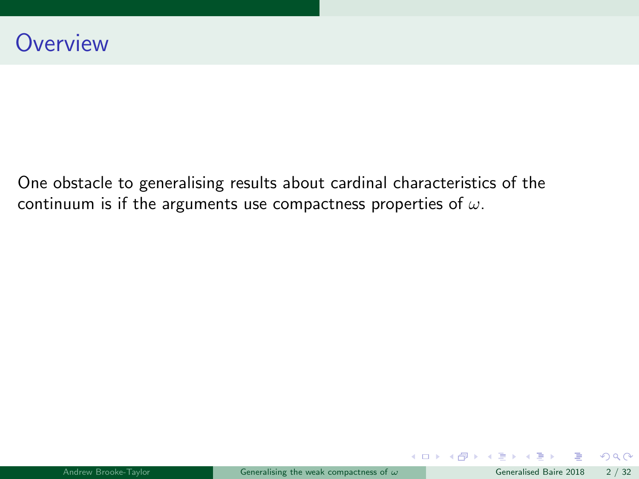One obstacle to generalising results about cardinal characteristics of the continuum is if the arguments use compactness properties of  $\omega$ .

 $QQ$ 

メロト メ都 トメ ヨ トメ ヨト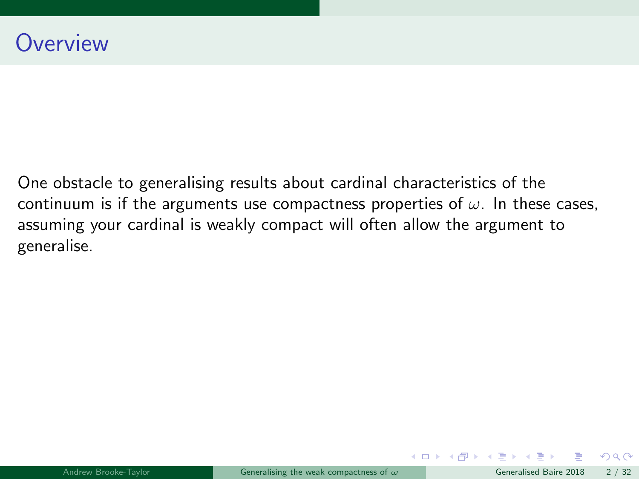One obstacle to generalising results about cardinal characteristics of the continuum is if the arguments use compactness properties of  $\omega$ . In these cases, assuming your cardinal is weakly compact will often allow the argument to generalise.

メロト メ母 トメミト メミト

 $QQ$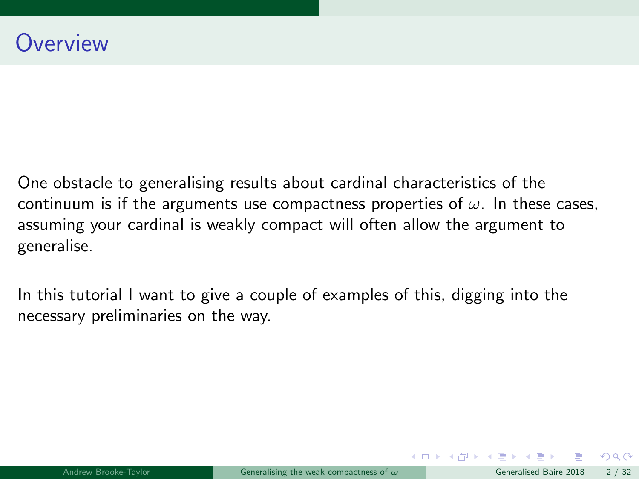One obstacle to generalising results about cardinal characteristics of the continuum is if the arguments use compactness properties of  $\omega$ . In these cases, assuming your cardinal is weakly compact will often allow the argument to generalise.

In this tutorial I want to give a couple of examples of this, digging into the necessary preliminaries on the way.

 $\Omega$ 

メロト メ何 トメ ヨ トメ ヨ ト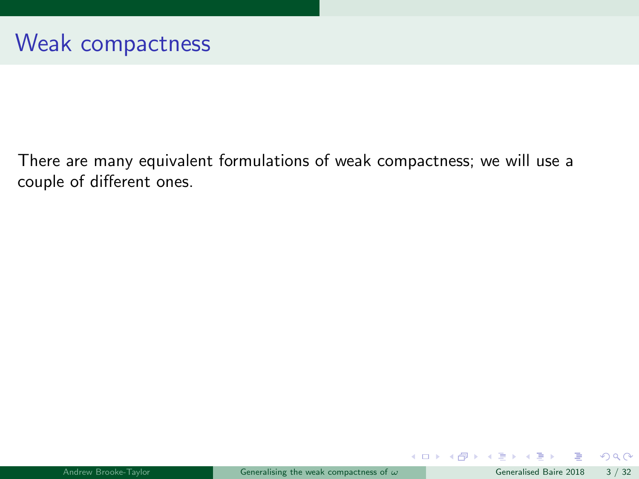There are many equivalent formulations of weak compactness; we will use a couple of different ones.

 $\equiv$ 

 $299$ 

メロトメ 御下 メミトメ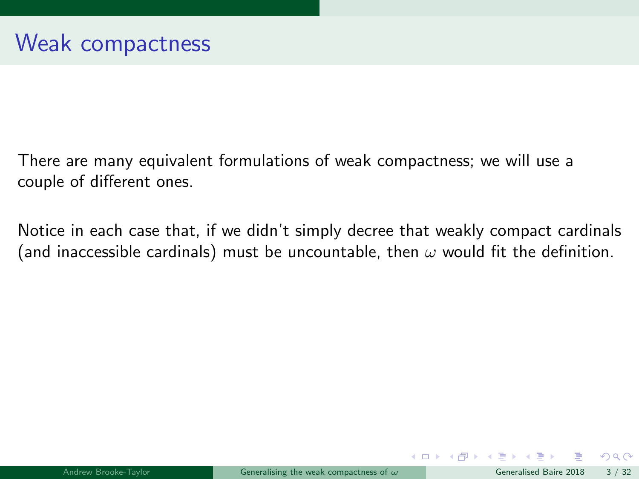There are many equivalent formulations of weak compactness; we will use a couple of different ones.

Notice in each case that, if we didn't simply decree that weakly compact cardinals (and inaccessible cardinals) must be uncountable, then  $\omega$  would fit the definition.

 $\Omega$ 

イロト イ押ト イヨト イ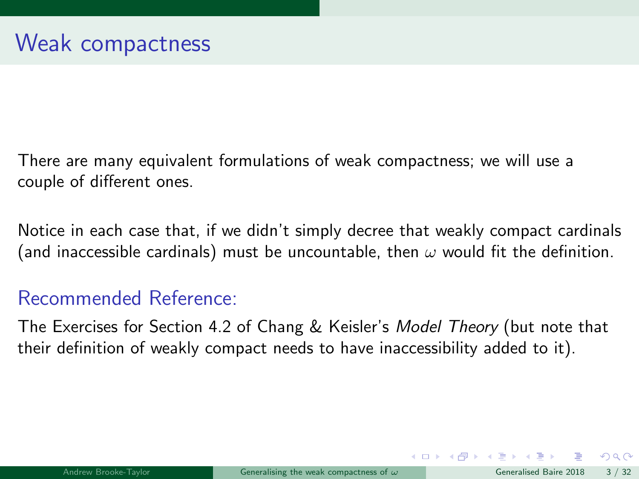<span id="page-6-0"></span>There are many equivalent formulations of weak compactness; we will use a couple of different ones.

Notice in each case that, if we didn't simply decree that weakly compact cardinals (and inaccessible cardinals) must be uncountable, then  $\omega$  would fit the definition.

## Recommended Reference:

The Exercises for Section 4.2 of Chang & Keisler's Model Theory (but note that their definition of weakly compact needs to have inaccessibility added to it).

 $\Omega$ 

 $\left\{ \begin{array}{ccc} 1 & 0 & 0 \\ 0 & 1 & 0 \end{array} \right\}$  ,  $\left\{ \begin{array}{ccc} 0 & 0 & 0 \\ 0 & 0 & 0 \end{array} \right\}$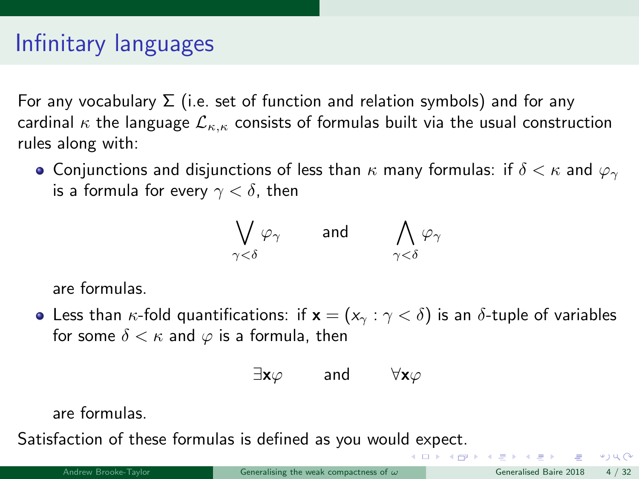<span id="page-7-0"></span>For any vocabulary  $\Sigma$  (i.e. set of function and relation symbols) and for any cardinal  $\kappa$  the language  $\mathcal{L}_{\kappa,\kappa}$  consists of formulas built via the usual construction rules along with:

**•** Conjunctions and disjunctions of less than  $\kappa$  many formulas: if  $\delta < \kappa$  and  $\varphi_{\gamma}$ is a formula for every  $\gamma < \delta$ , then

$$
\bigvee_{\gamma<\delta}\varphi_\gamma\qquad\text{and}\qquad\bigwedge_{\gamma<\delta}\varphi_\gamma
$$

are formulas.

• Less than  $\kappa$ -fold quantifications: if  $\mathbf{x} = (x_{\gamma} : \gamma < \delta)$  is an  $\delta$ -tuple of variables for some  $\delta < \kappa$  and  $\varphi$  is a formula, then

$$
\exists {\bf x} \varphi \qquad \text{and} \qquad \forall {\bf x} \varphi
$$

are formulas.

Satisfaction of these formulas is defined as you woul[d e](#page-6-0)x[pe](#page-8-0)[c](#page-6-0)[t.](#page-7-0)

 $\sqrt{2}$ 

KIND OF BUILDING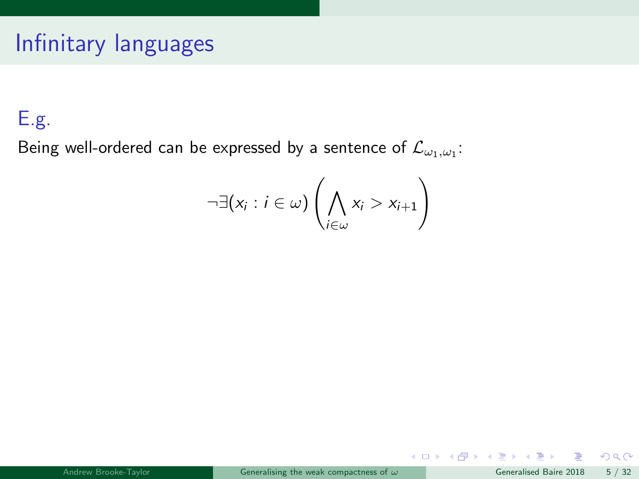## <span id="page-8-0"></span>E.g.

Being well-ordered can be expressed by a sentence of  $\mathcal{L}_{\omega_1, \omega_1}$ :

$$
\neg \exists (x_i : i \in \omega) \left( \bigwedge_{i \in \omega} x_i > x_{i+1} \right)
$$

 $299$ 

メロトメ 倒 トメ ミトメ ミト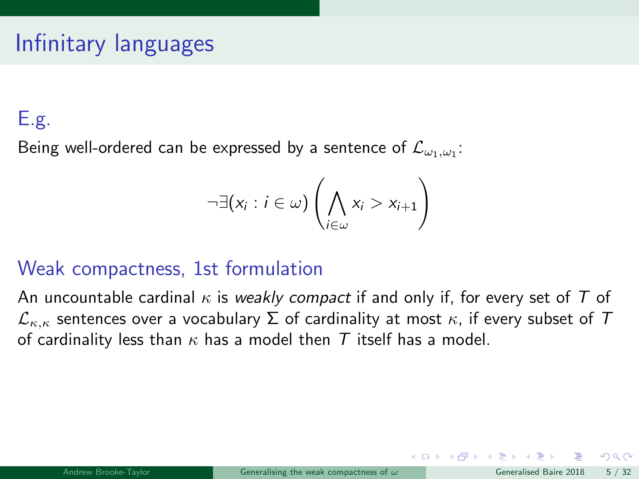## E.g.

Being well-ordered can be expressed by a sentence of  $\mathcal{L}_{\omega_1, \omega_1}$ :

$$
\neg \exists (x_i : i \in \omega) \left( \bigwedge_{i \in \omega} x_i > x_{i+1} \right)
$$

## Weak compactness, 1st formulation

An uncountable cardinal  $\kappa$  is weakly compact if and only if, for every set of T of  $\mathcal{L}_{\kappa,\kappa}$  sentences over a vocabulary  $\Sigma$  of cardinality at most  $\kappa$ , if every subset of  $T$ of cardinality less than  $\kappa$  has a model then T itself has a model.

 $\Omega$ 

 $\left\{ \begin{array}{ccc} 1 & 0 & 0 \\ 0 & 1 & 0 \end{array} \right.$   $\left\{ \begin{array}{ccc} 0 & 0 & 0 \\ 0 & 0 & 0 \end{array} \right.$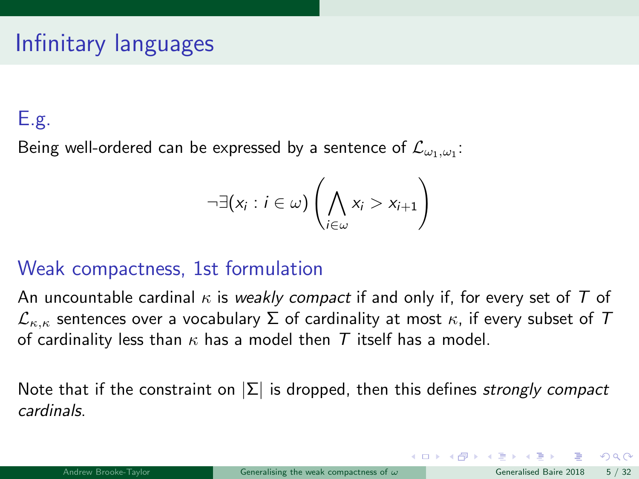## E.g.

Being well-ordered can be expressed by a sentence of  $\mathcal{L}_{\omega_1, \omega_1}$ :

$$
\neg \exists (x_i : i \in \omega) \left( \bigwedge_{i \in \omega} x_i > x_{i+1} \right)
$$

## Weak compactness, 1st formulation

An uncountable cardinal  $\kappa$  is weakly compact if and only if, for every set of T of  $\mathcal{L}_{\kappa,\kappa}$  sentences over a vocabulary  $\Sigma$  of cardinality at most  $\kappa$ , if every subset of  $T$ of cardinality less than  $\kappa$  has a model then T itself has a model.

Note that if the constraint on  $|\Sigma|$  is dropped, then this defines *strongly compact* cardinals.

 $\Omega$ 

 $\left\{ \begin{array}{ccc} 1 & 0 & 0 \\ 0 & 1 & 0 \end{array} \right.$   $\left\{ \begin{array}{ccc} 0 & 0 & 0 \\ 0 & 0 & 0 \end{array} \right.$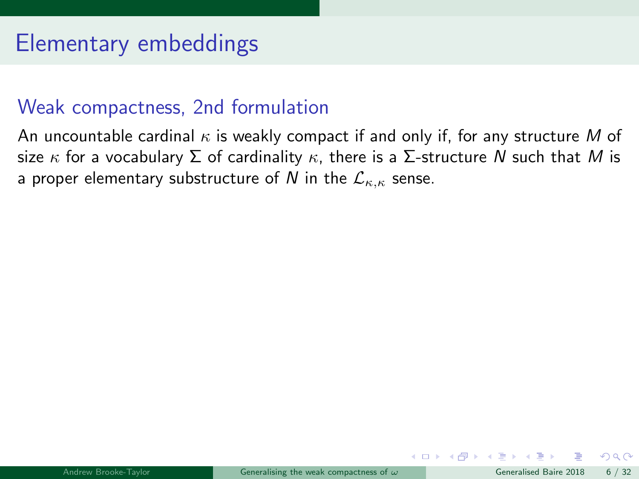## Elementary embeddings

### Weak compactness, 2nd formulation

An uncountable cardinal  $\kappa$  is weakly compact if and only if, for any structure M of size  $\kappa$  for a vocabulary  $\Sigma$  of cardinality  $\kappa$ , there is a  $\Sigma$ -structure N such that M is a proper elementary substructure of N in the  $\mathcal{L}_{\kappa,\kappa}$  sense.

 $\Omega$ 

**K ロ ト K 何 ト K ヨ ト**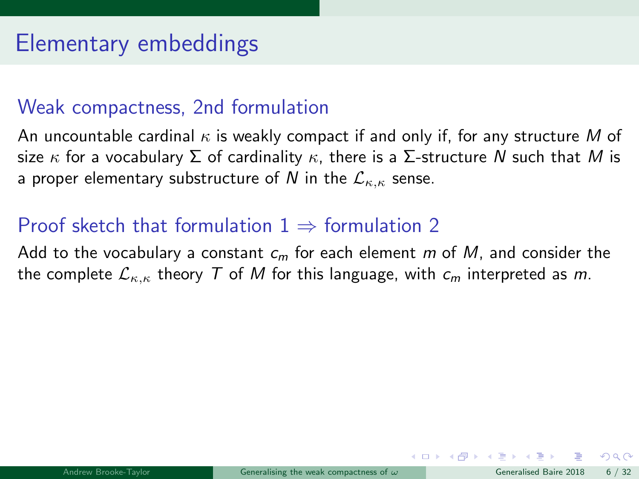## Elementary embeddings

### Weak compactness, 2nd formulation

An uncountable cardinal  $\kappa$  is weakly compact if and only if, for any structure M of size  $\kappa$  for a vocabulary  $\Sigma$  of cardinality  $\kappa$ , there is a  $\Sigma$ -structure N such that M is a proper elementary substructure of N in the  $\mathcal{L}_{\kappa,\kappa}$  sense.

## Proof sketch that formulation  $1 \Rightarrow$  formulation 2

Add to the vocabulary a constant  $c_m$  for each element m of M, and consider the the complete  $\mathcal{L}_{\kappa,\kappa}$  theory T of M for this language, with  $c_m$  interpreted as m.

 $\Omega$ 

 $\left\{ \begin{array}{ccc} \square & \rightarrow & \left\{ \bigcap \mathbb{P} \right\} & \left\{ \begin{array}{ccc} \square & \rightarrow & \left\{ \end{array} \right\} \end{array} \right.$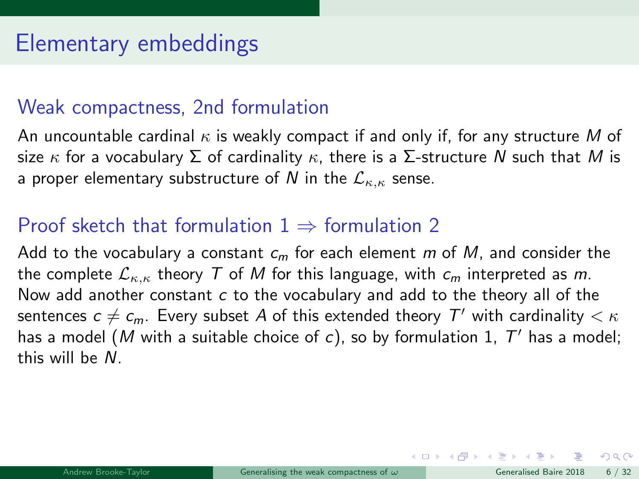## Weak compactness, 2nd formulation

An uncountable cardinal  $\kappa$  is weakly compact if and only if, for any structure M of size  $\kappa$  for a vocabulary  $\Sigma$  of cardinality  $\kappa$ , there is a  $\Sigma$ -structure N such that M is a proper elementary substructure of N in the  $\mathcal{L}_{\kappa,\kappa}$  sense.

## Proof sketch that formulation  $1 \Rightarrow$  formulation 2

Add to the vocabulary a constant  $c_m$  for each element m of M, and consider the the complete  $\mathcal{L}_{\kappa,\kappa}$  theory T of M for this language, with  $c_m$  interpreted as m. Now add another constant  $c$  to the vocabulary and add to the theory all of the sentences  $c\neq c_m$ . Every subset  $A$  of this extended theory  $\mathcal{T}'$  with cardinality  $<\kappa$ has a model (M with a suitable choice of c), so by formulation 1,  $T'$  has a model; this will be N.

 $\Omega$ 

 $\left\{ \begin{array}{ccc} 1 & 0 & 0 \\ 0 & 1 & 0 \end{array} \right\}$  ,  $\left\{ \begin{array}{ccc} 0 & 0 & 0 \\ 0 & 0 & 0 \end{array} \right\}$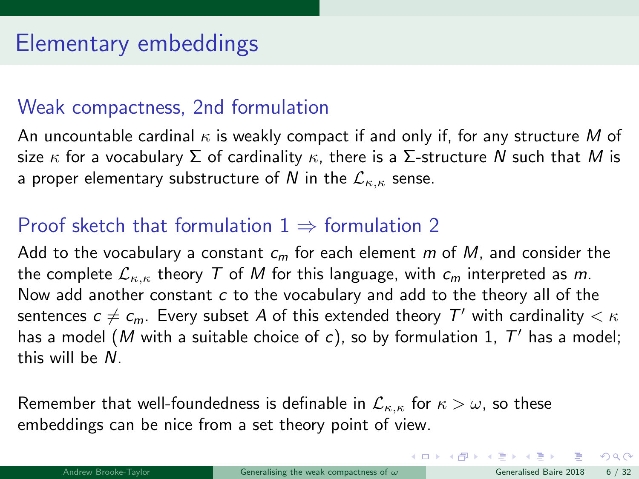## Weak compactness, 2nd formulation

An uncountable cardinal  $\kappa$  is weakly compact if and only if, for any structure M of size  $\kappa$  for a vocabulary  $\Sigma$  of cardinality  $\kappa$ , there is a  $\Sigma$ -structure N such that M is a proper elementary substructure of N in the  $\mathcal{L}_{\kappa,\kappa}$  sense.

## Proof sketch that formulation  $1 \Rightarrow$  formulation 2

Add to the vocabulary a constant  $c_m$  for each element m of M, and consider the the complete  $\mathcal{L}_{\kappa,\kappa}$  theory T of M for this language, with  $c_m$  interpreted as m. Now add another constant  $c$  to the vocabulary and add to the theory all of the sentences  $c\neq c_m$ . Every subset  $A$  of this extended theory  $\mathcal{T}'$  with cardinality  $<\kappa$ has a model (M with a suitable choice of c), so by formulation 1,  $T'$  has a model; this will be N.

Remember that well-foundedness is definable in  $\mathcal{L}_{\kappa,\kappa}$  for  $\kappa > \omega$ , so these embeddings can be nice from a set theory point of view.

 $\Omega$ 

イロト イ部ト イミト イミト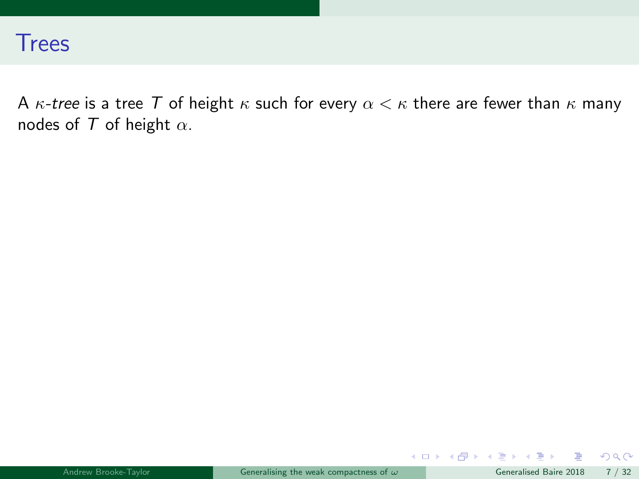

A  $\kappa$ -tree is a tree T of height  $\kappa$  such for every  $\alpha < \kappa$  there are fewer than  $\kappa$  many nodes of  $T$  of height  $\alpha$ .

 $299$ 

メロトメ 倒 トメ ミトメ ミト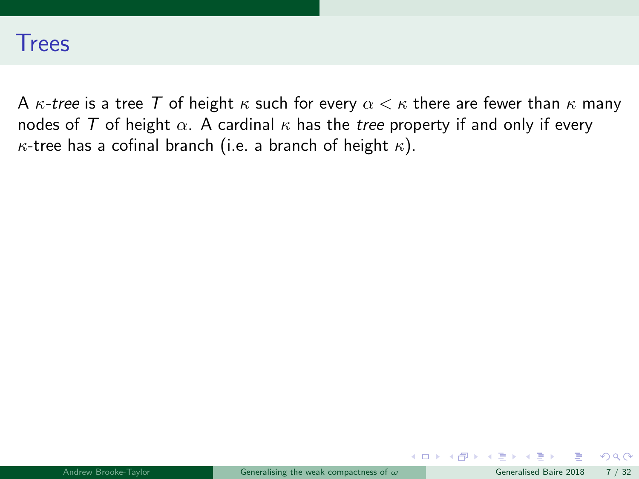

A  $\kappa$ -tree is a tree T of height  $\kappa$  such for every  $\alpha < \kappa$  there are fewer than  $\kappa$  many nodes of T of height  $\alpha$ . A cardinal  $\kappa$  has the tree property if and only if every  $\kappa$ -tree has a cofinal branch (i.e. a branch of height  $\kappa$ ).

 $\Omega$ 

メロト メ何 トメ ヨ トメ ヨ ト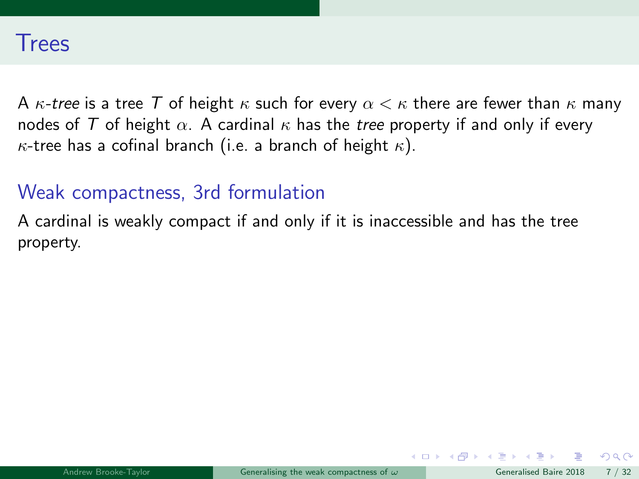A  $\kappa$ -tree is a tree T of height  $\kappa$  such for every  $\alpha < \kappa$  there are fewer than  $\kappa$  many nodes of T of height  $\alpha$ . A cardinal  $\kappa$  has the tree property if and only if every  $\kappa$ -tree has a cofinal branch (i.e. a branch of height  $\kappa$ ).

#### Weak compactness, 3rd formulation

A cardinal is weakly compact if and only if it is inaccessible and has the tree property.

 $\left\{ \begin{array}{ccc} \square & \rightarrow & \left\{ \bigcap \mathbb{P} \right\} & \left\{ \begin{array}{ccc} \square & \rightarrow & \left\{ \end{array} \right\} \end{array} \right.$ 

 $\Omega$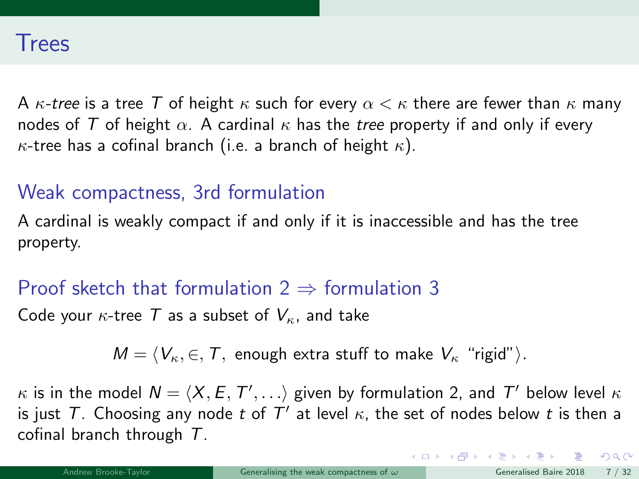A  $\kappa$ -tree is a tree T of height  $\kappa$  such for every  $\alpha < \kappa$  there are fewer than  $\kappa$  many nodes of T of height  $\alpha$ . A cardinal  $\kappa$  has the tree property if and only if every  $\kappa$ -tree has a cofinal branch (i.e. a branch of height  $\kappa$ ).

#### Weak compactness, 3rd formulation

A cardinal is weakly compact if and only if it is inaccessible and has the tree property.

## Proof sketch that formulation  $2 \Rightarrow$  formulation 3

Code your  $\kappa$ -tree T as a subset of  $V_{\kappa}$ , and take

 $M = \langle V_{\kappa}, \in, T$ , enough extra stuff to make  $V_{\kappa}$  "rigid").

 $\kappa$  is in the model  $\mathcal{N} = \langle X, E, T', \ldots \rangle$  given by formulation 2, and  $T'$  below level  $\kappa$ is just T. Choosing any node t of  $T'$  at level  $\kappa$ , the set of nodes below t is then a cofinal branch through  $T$ .

 $2990$ 

 $\left\{ \begin{array}{ccc} 1 & 0 & 0 \\ 0 & 1 & 0 \end{array} \right\}$  ,  $\left\{ \begin{array}{ccc} 0 & 0 & 0 \\ 0 & 0 & 0 \end{array} \right\}$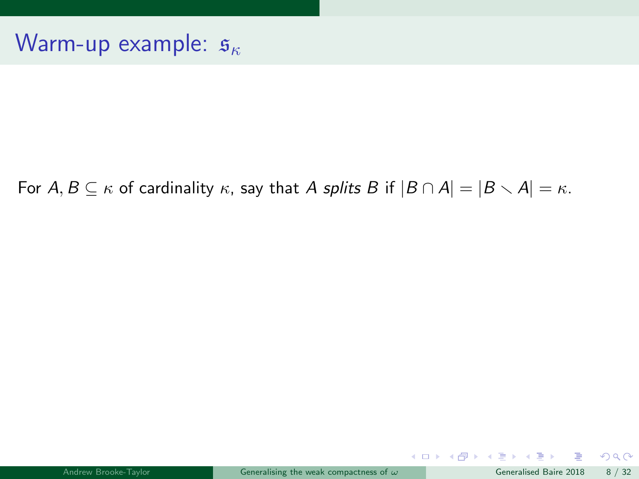#### For  $A, B \subseteq \kappa$  of cardinality  $\kappa$ , say that A splits B if  $|B \cap A| = |B \setminus A| = \kappa$ .

 $299$ 

メロトメ 倒 トメ ミトメ ミト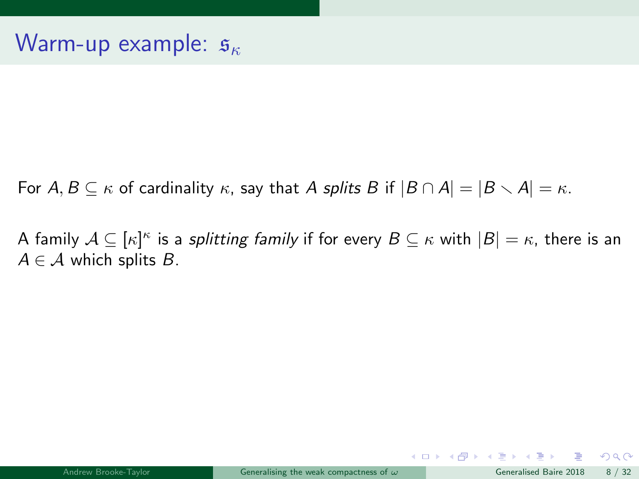For  $A, B \subseteq \kappa$  of cardinality  $\kappa$ , say that A splits B if  $|B \cap A| = |B \setminus A| = \kappa$ .

A family  $\mathcal{A} \subseteq [\kappa]^{\kappa}$  is a *splitting family* if for every  $B \subseteq \kappa$  with  $|B| = \kappa$ , there is an  $A \in \mathcal{A}$  which splits B.

 $QQ$ 

メロメ メ御き メミメ メミメ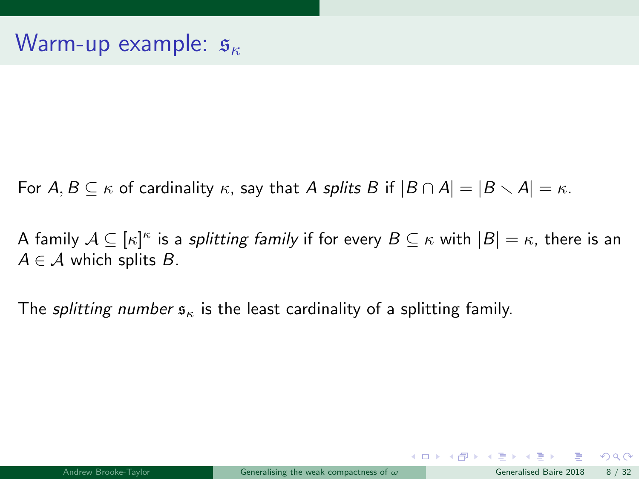For  $A, B \subseteq \kappa$  of cardinality  $\kappa$ , say that A splits B if  $|B \cap A| = |B \setminus A| = \kappa$ .

A family  $\mathcal{A} \subseteq [\kappa]^{\kappa}$  is a *splitting family* if for every  $B \subseteq \kappa$  with  $|B| = \kappa$ , there is an  $A \in \mathcal{A}$  which splits  $B$ .

The splitting number  $s_{\kappa}$  is the least cardinality of a splitting family.

 $QQ$ 

メロト メ都 トメ ヨ トメ ヨト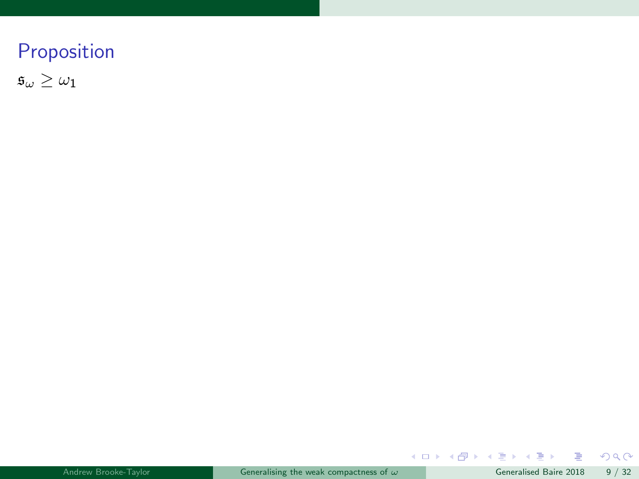$\mathfrak{s}_\omega \geq \omega_1$ 

重

 $299$ 

 $A \equiv \lambda$   $A \equiv \lambda$   $A \equiv \lambda$   $A \equiv \lambda$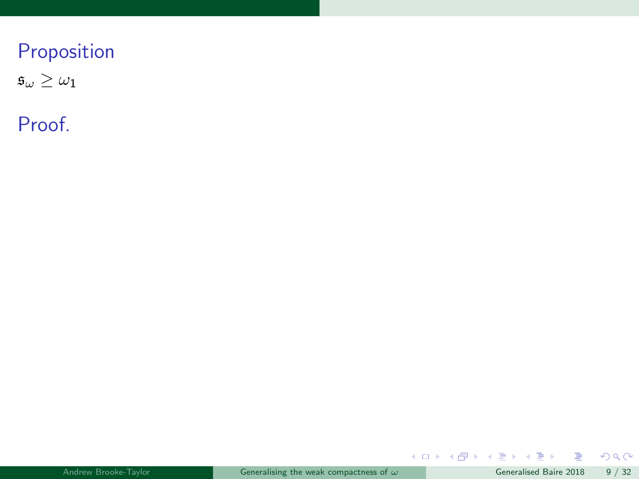$\mathfrak{s}_\omega \geq \omega_1$ 

Proof.

 $299$ 

メロトメ 御 トメ 差 トメ 差 ト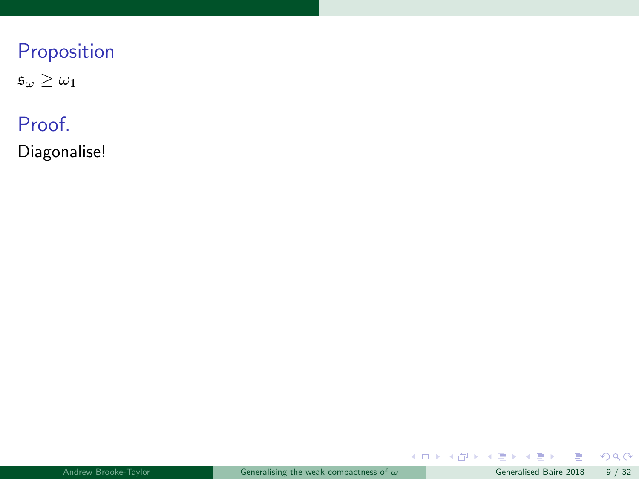$\mathfrak{s}_\omega \geq \omega_1$ 

## Proof.

Diagonalise!

 $299$ 

 $A \equiv \lambda$   $A \equiv \lambda$   $A \equiv \lambda$   $A \equiv \lambda$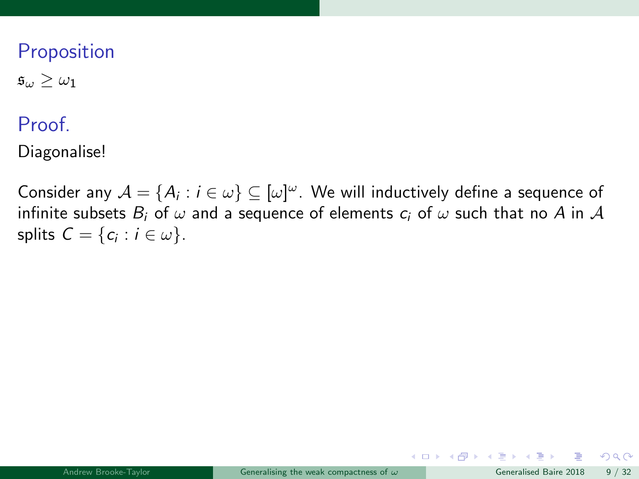$\mathfrak{s}_{\omega} > \omega_1$ 

#### **Proof**

Diagonalise!

Consider any  $\mathcal{A} = \{A_i : i \in \omega\} \subseteq [\omega]^\omega$ . We will inductively define a sequence of infinite subsets  $B_i$  of  $\omega$  and a sequence of elements  $c_i$  of  $\omega$  such that no A in A splits  $C = \{c_i : i \in \omega\}.$ 

 $\Omega$ 

**K ロ ト K 何 ト K ヨ ト**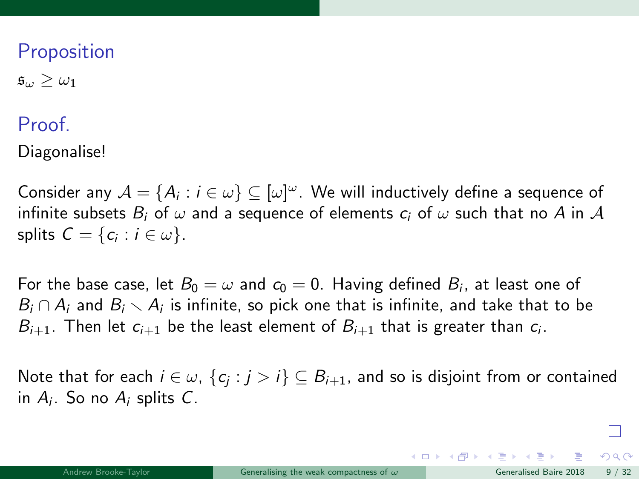$\mathfrak{s}_{\omega} > \omega_1$ 

#### **Proof**

Diagonalise!

Consider any  $\mathcal{A} = \{A_i : i \in \omega\} \subseteq [\omega]^\omega$ . We will inductively define a sequence of infinite subsets  $B_i$  of  $\omega$  and a sequence of elements  $c_i$  of  $\omega$  such that no A in A splits  $C = \{c_i : i \in \omega\}.$ 

For the base case, let  $B_0=\omega$  and  $c_0=0.$  Having defined  $B_i$ , at least one of  $B_i \cap A_i$  and  $B_i \setminus A_i$  is infinite, so pick one that is infinite, and take that to be  $B_{i+1}$ . Then let  $c_{i+1}$  be the least element of  $B_{i+1}$  that is greater than  $c_i$ .

Note that for each  $i\in\omega$ ,  $\{c_j:j>i\}\subseteq B_{i+1}$ , and so is disjoint from or contained in  $A_i$ . So no  $A_i$  splits C.

 $\Omega$ 

 $\left\{ \begin{array}{ccc} 1 & 0 & 0 \\ 0 & 1 & 0 \end{array} \right.$   $\left\{ \begin{array}{ccc} 0 & 0 & 0 \\ 0 & 0 & 0 \end{array} \right.$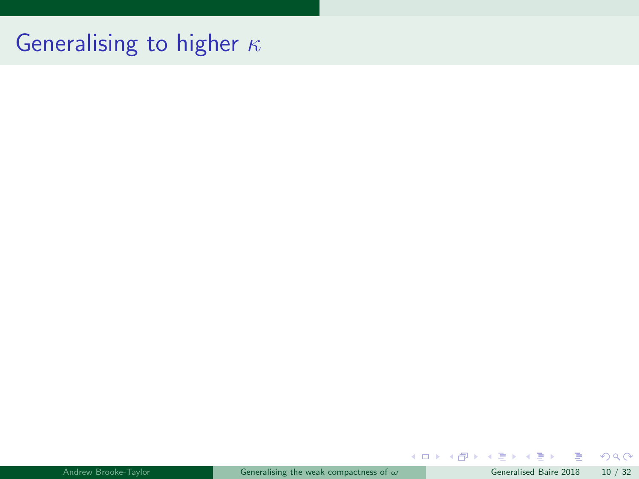# Generalising to higher  $\kappa$

|  | Andrew Brooke-Tavlor |  |  |
|--|----------------------|--|--|
|  |                      |  |  |
|  |                      |  |  |
|  |                      |  |  |

重

 $299$ 

メロトメ 倒 トメ ミトメ ミト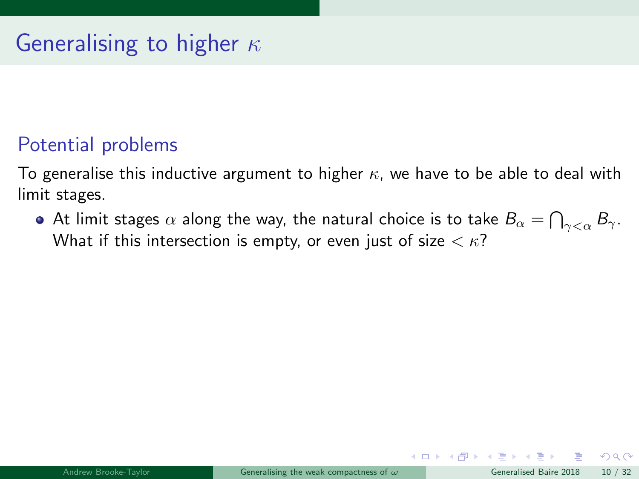# Generalising to higher  $\kappa$

## Potential problems

To generalise this inductive argument to higher  $\kappa$ , we have to be able to deal with limit stages.

At limit stages  $\alpha$  along the way, the natural choice is to take  $B_\alpha = \bigcap_{\gamma<\alpha} B_\gamma.$ What if this intersection is empty, or even just of size  $\langle \kappa \rangle$ ?

 $\Omega$ 

メロト メ何 トメ ヨ トメ ヨ ト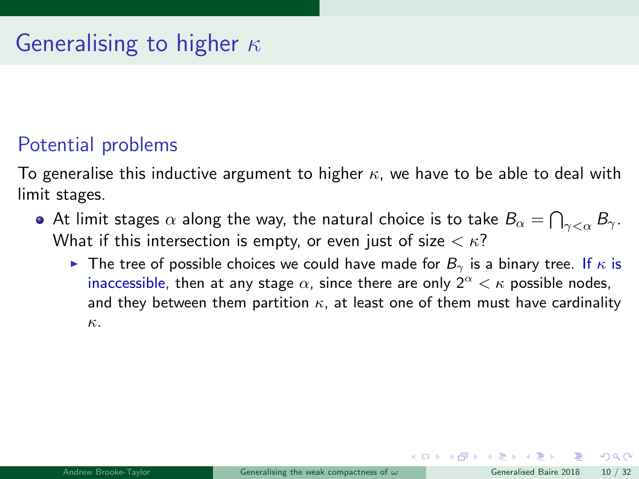# Generalising to higher  $\kappa$

## Potential problems

To generalise this inductive argument to higher  $\kappa$ , we have to be able to deal with limit stages.

- At limit stages  $\alpha$  along the way, the natural choice is to take  $B_\alpha = \bigcap_{\gamma<\alpha} B_\gamma.$ What if this intersection is empty, or even just of size  $\langle \kappa \rangle$ ?
	- **IF The tree of possible choices we could have made for**  $B_{\gamma}$  **is a binary tree. If**  $\kappa$  **is** inaccessible, then at any stage  $\alpha$ , since there are only  $2^{\alpha} < \kappa$  possible nodes, and they between them partition  $\kappa$ , at least one of them must have cardinality κ.

 $\Omega$ 

メロト メ何 トメ ヨ トメ ヨ ト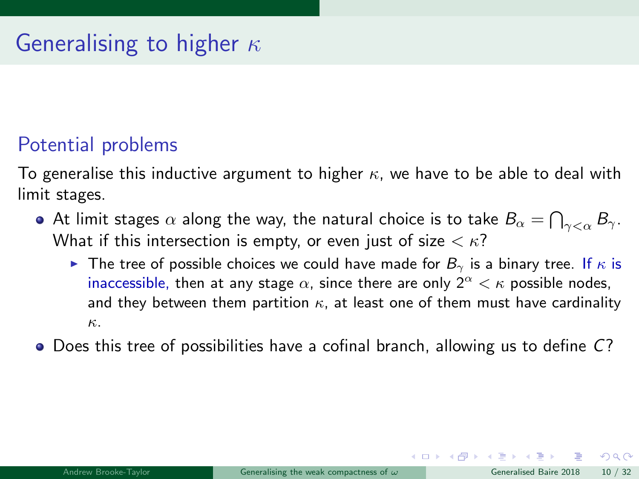## Potential problems

To generalise this inductive argument to higher  $\kappa$ , we have to be able to deal with limit stages.

- At limit stages  $\alpha$  along the way, the natural choice is to take  $B_\alpha = \bigcap_{\gamma<\alpha} B_\gamma.$ What if this intersection is empty, or even just of size  $\langle \kappa \rangle$ ?
	- **IF The tree of possible choices we could have made for**  $B_{\gamma}$  **is a binary tree. If**  $\kappa$  **is** inaccessible, then at any stage  $\alpha$ , since there are only  $2^{\alpha} < \kappa$  possible nodes, and they between them partition  $\kappa$ , at least one of them must have cardinality κ.
- Does this tree of possibilities have a cofinal branch, allowing us to define C?

 $\Omega$ 

 $\left\{ \begin{array}{ccc} 1 & 0 & 0 \\ 0 & 1 & 0 \end{array} \right\}$  ,  $\left\{ \begin{array}{ccc} 0 & 0 & 0 \\ 0 & 0 & 0 \end{array} \right\}$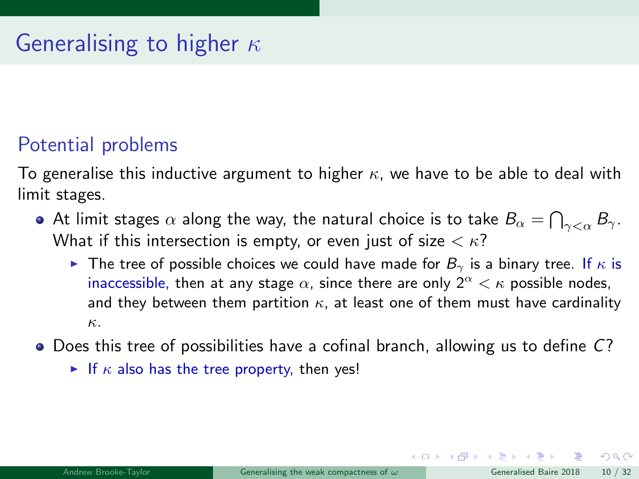## Potential problems

To generalise this inductive argument to higher  $\kappa$ , we have to be able to deal with limit stages.

- At limit stages  $\alpha$  along the way, the natural choice is to take  $B_\alpha = \bigcap_{\gamma<\alpha} B_\gamma.$ What if this intersection is empty, or even just of size  $\langle \kappa \rangle$ ?
	- **IF The tree of possible choices we could have made for**  $B_{\gamma}$  **is a binary tree. If**  $\kappa$  **is** inaccessible, then at any stage  $\alpha$ , since there are only  $2^{\alpha} < \kappa$  possible nodes, and they between them partition  $\kappa$ , at least one of them must have cardinality κ.
- $\bullet$  Does this tree of possibilities have a cofinal branch, allowing us to define  $C$ ?
	- If  $\kappa$  also has the tree property, then yes!

 $\Omega$ 

 $\left\{ \begin{array}{ccc} 1 & 0 & 0 \\ 0 & 1 & 0 \end{array} \right\}$  ,  $\left\{ \begin{array}{ccc} 0 & 0 & 0 \\ 0 & 0 & 0 \end{array} \right\}$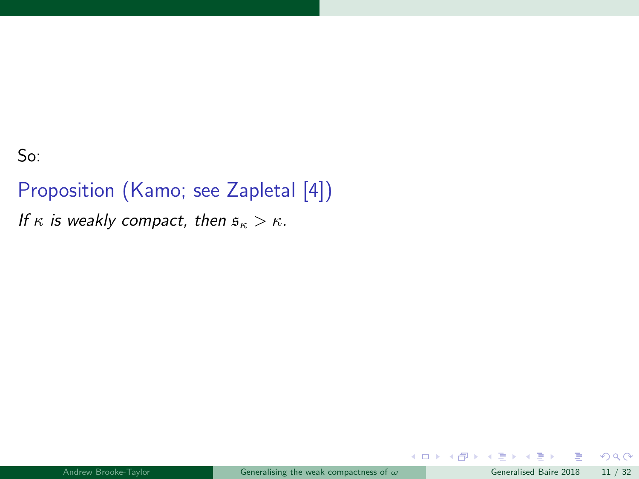So:

Proposition (Kamo; see Zapletal [\[4\]](#page-93-0)) If  $\kappa$  is weakly compact, then  $\mathfrak{s}_{\kappa} > \kappa$ .

B

舌

 $299$ 

メロメ メタメ メミメ メ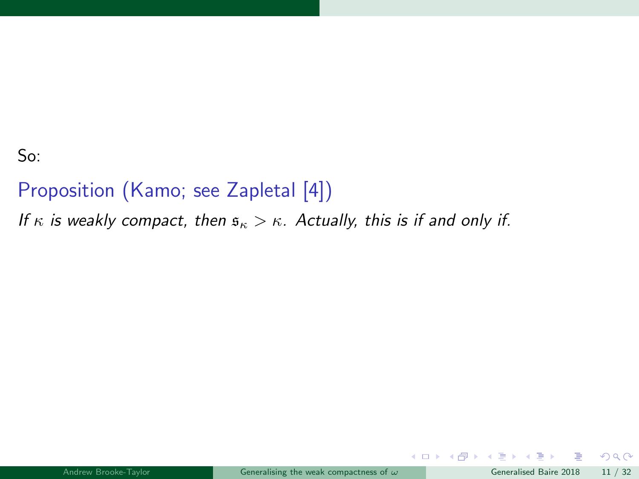#### So:

## Proposition (Kamo; see Zapletal [\[4\]](#page-93-0))

If  $\kappa$  is weakly compact, then  $\mathfrak{s}_{\kappa} > \kappa$ . Actually, this is if and only if.

Ε

 $299$ 

**K ロ ト K 倒 ト K ミ ト**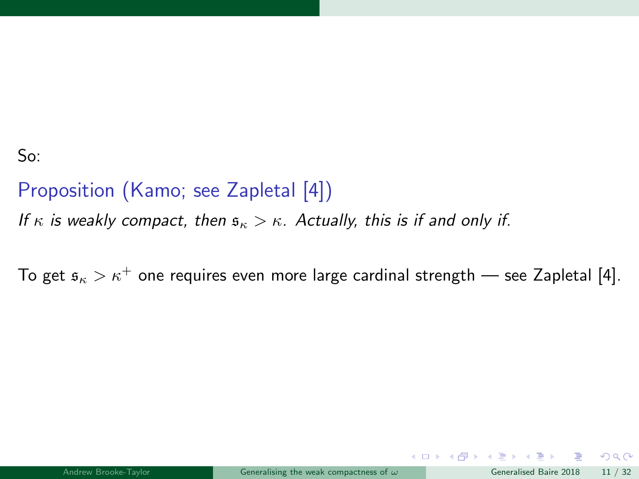#### So:

## Proposition (Kamo; see Zapletal [\[4\]](#page-93-0)) If  $\kappa$  is weakly compact, then  $\mathfrak{s}_{\kappa} > \kappa$ . Actually, this is if and only if.

To get  $s_{\kappa} > \kappa^+$  one requires even more large cardinal strength — see Zapletal [\[4\]](#page-93-0).

 $\Omega$ 

**K ロ ト K 何 ト K ヨ ト**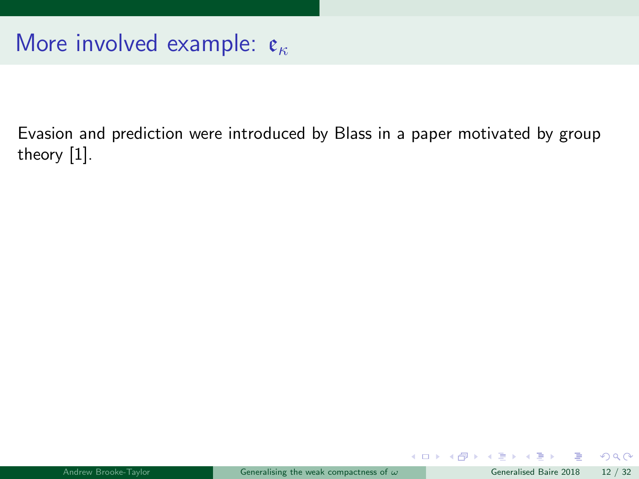Evasion and prediction were introduced by Blass in a paper motivated by group theory [\[1\]](#page-93-1).

画

 $299$ 

 $\left\{ \begin{array}{ccc} 1 & 0 & 0 \\ 0 & 1 & 0 \end{array} \right.$   $\left\{ \begin{array}{ccc} 0 & 0 & 0 \\ 0 & 0 & 0 \end{array} \right.$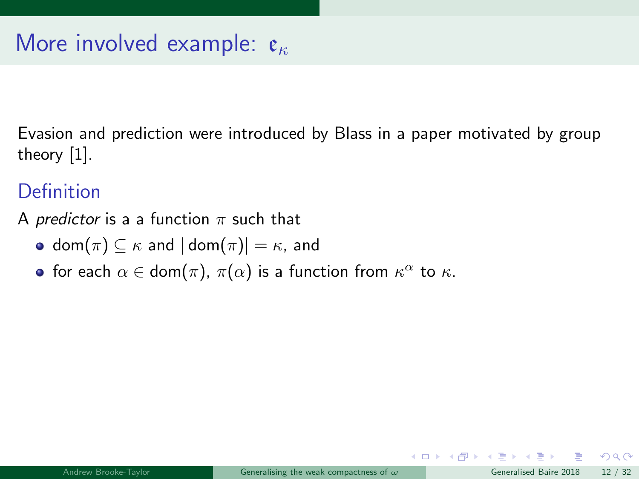Evasion and prediction were introduced by Blass in a paper motivated by group theory [\[1\]](#page-93-0).

#### **Definition**

- A *predictor* is a a function  $\pi$  such that
	- dom $(\pi) \subseteq \kappa$  and  $|\text{dom}(\pi)| = \kappa$ , and
	- for each  $\alpha \in \text{dom}(\pi)$ ,  $\pi(\alpha)$  is a function from  $\kappa^{\alpha}$  to  $\kappa$ .

 $\Omega$ 

メロト メ何 トメ ヨ トメ ヨ ト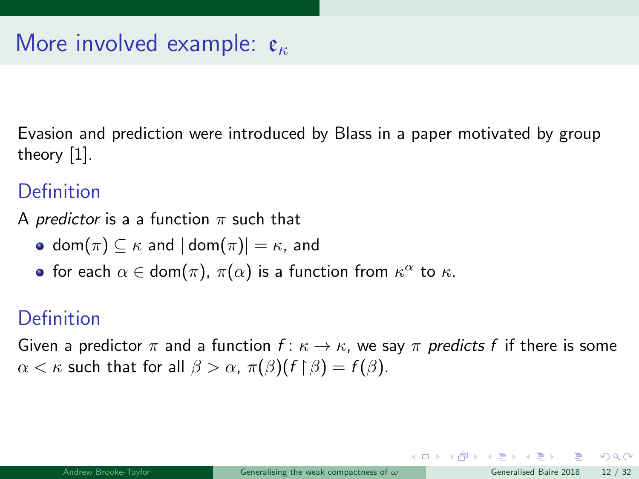Evasion and prediction were introduced by Blass in a paper motivated by group theory [\[1\]](#page-93-0).

#### **Definition**

A *predictor* is a a function  $\pi$  such that

- dom $(\pi) \subseteq \kappa$  and  $|dom(\pi)| = \kappa$ , and
- for each  $\alpha \in \text{dom}(\pi)$ ,  $\pi(\alpha)$  is a function from  $\kappa^{\alpha}$  to  $\kappa$ .

### Definition

Given a predictor  $\pi$  and a function  $f: \kappa \to \kappa$ , we say  $\pi$  predicts f if there is some  $\alpha < \kappa$  such that for all  $\beta > \alpha$ ,  $\pi(\beta)(f \upharpoonright \beta) = f(\beta)$ .

 $QQ$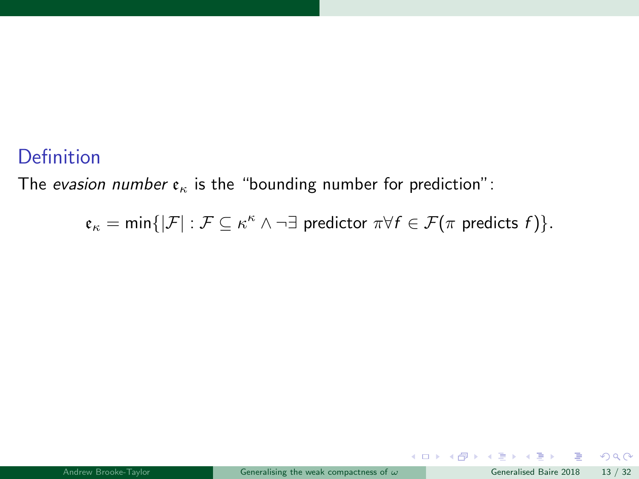#### **Definition**

The evasion number  $\varepsilon_{\kappa}$  is the "bounding number for prediction":

$$
\mathfrak{e}_{\kappa} = \min\{|\mathcal{F}| : \mathcal{F} \subseteq \kappa^{\kappa} \land \neg \exists \text{ predictor } \pi \forall f \in \mathcal{F}(\pi \text{ predicts } f)\}.
$$

 $299$ 

メロトメ 倒 トメ ミトメ ミト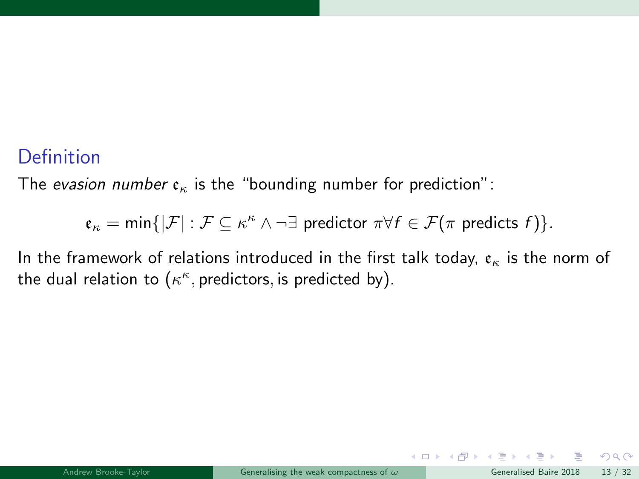#### Definition

The evasion number  $\varepsilon_{\kappa}$  is the "bounding number for prediction":

$$
\mathfrak{e}_\kappa=\min\{|\mathcal{F}|:\mathcal{F}\subseteq\kappa^\kappa\wedge\neg\exists\text{ predictor }\pi\forall f\in\mathcal{F}(\pi\text{ predicts }f)\}.
$$

In the framework of relations introduced in the first talk today,  $\mathfrak{e}_{\kappa}$  is the norm of the dual relation to  $(\kappa^\kappa,$  predictors, is predicted by).

 $QQ$ 

 $\left\{ \begin{array}{ccc} 1 & 0 & 0 \\ 0 & 1 & 0 \end{array} \right.$   $\left\{ \begin{array}{ccc} 0 & 0 & 0 \\ 0 & 0 & 0 \end{array} \right.$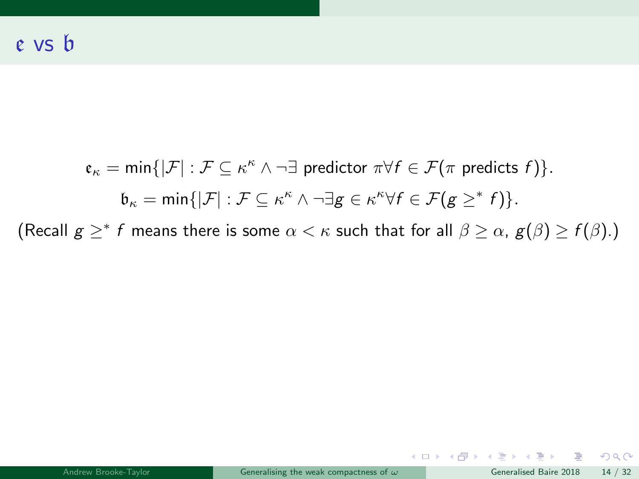$$
\mathfrak{e}_{\kappa} = \min\{|\mathcal{F}| : \mathcal{F} \subseteq \kappa^{\kappa} \land \neg \exists \text{ predictor } \pi \forall f \in \mathcal{F}(\pi \text{ predicts } f)\}.
$$

$$
\mathfrak{b}_{\kappa} = \min\{|\mathcal{F}| : \mathcal{F} \subseteq \kappa^{\kappa} \land \neg \exists g \in \kappa^{\kappa} \forall f \in \mathcal{F}(g \geq^* f)\}.
$$

(Recall  $g \geq^* f$  means there is some  $\alpha < \kappa$  such that for all  $\beta \geq \alpha$ ,  $g(\beta) \geq f(\beta)$ .)

 $\equiv$  990

メロメ メ御 メメ ミメ メ ヨメ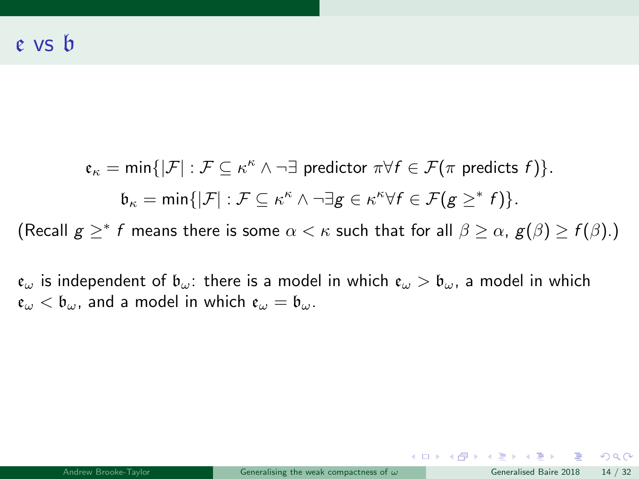$$
\mathfrak{e}_{\kappa} = \min\{|\mathcal{F}| : \mathcal{F} \subseteq \kappa^{\kappa} \land \neg \exists \text{ predictor } \pi \forall f \in \mathcal{F}(\pi \text{ predicts } f)\}.
$$
  
\n
$$
\mathfrak{b}_{\kappa} = \min\{|\mathcal{F}| : \mathcal{F} \subseteq \kappa^{\kappa} \land \neg \exists g \in \kappa^{\kappa} \forall f \in \mathcal{F}(g \geq^* f)\}.
$$

(Recall  $g \geq^* f$  means there is some  $\alpha < \kappa$  such that for all  $\beta \geq \alpha$ ,  $g(\beta) \geq f(\beta)$ .)

 $\mathfrak{e}_{\omega}$  is independent of  $\mathfrak{b}_{\omega}$ : there is a model in which  $\mathfrak{e}_{\omega} > \mathfrak{b}_{\omega}$ , a model in which  $\mathfrak{e}_{\omega} < \mathfrak{b}_{\omega}$ , and a model in which  $\mathfrak{e}_{\omega} = \mathfrak{b}_{\omega}$ .

イロト イ団 トイミト イミト ニヨー りんぺ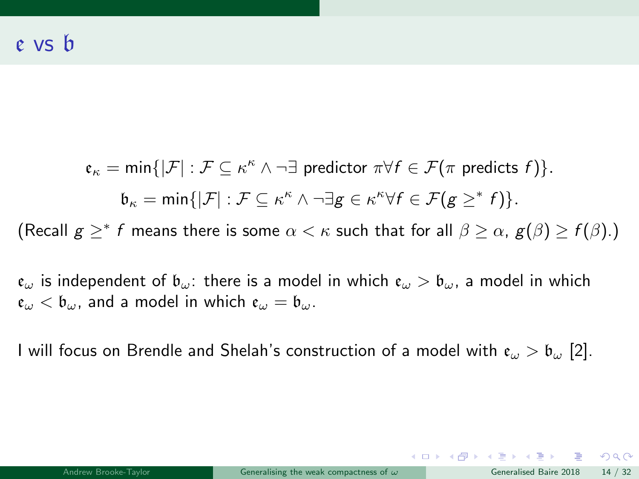$\mathfrak{e}_\kappa = \min \{|\mathcal{F}| : \mathcal{F} \subseteq \kappa^\kappa \wedge \neg \exists \text{ predictor } \pi \forall f \in \mathcal{F}(\pi \text{ predicts } f)\}.$  $\mathfrak{b}_{\kappa} = \min\{|\mathcal{F}| : \mathcal{F} \subseteq \kappa^{\kappa} \wedge \neg \exists \mathbf{g} \in \kappa^{\kappa} \forall \mathbf{f} \in \mathcal{F}(\mathbf{g} \geq^* \mathbf{f})\}.$ (Recall  $g \geq^* f$  means there is some  $\alpha < \kappa$  such that for all  $\beta \geq \alpha$ ,  $g(\beta) \geq f(\beta)$ .)

 $e_{\omega}$  is independent of  $b_{\omega}$ : there is a model in which  $e_{\omega} > b_{\omega}$ , a model in which  $\mathfrak{e}_{\omega} < \mathfrak{b}_{\omega}$ , and a model in which  $\mathfrak{e}_{\omega} = \mathfrak{b}_{\omega}$ .

I will focus on Brendle and Shelah's construction of a model with  $e_{\omega} > b_{\omega}$  [\[2\]](#page-93-1).

 $\equiv$   $\cap$   $\alpha$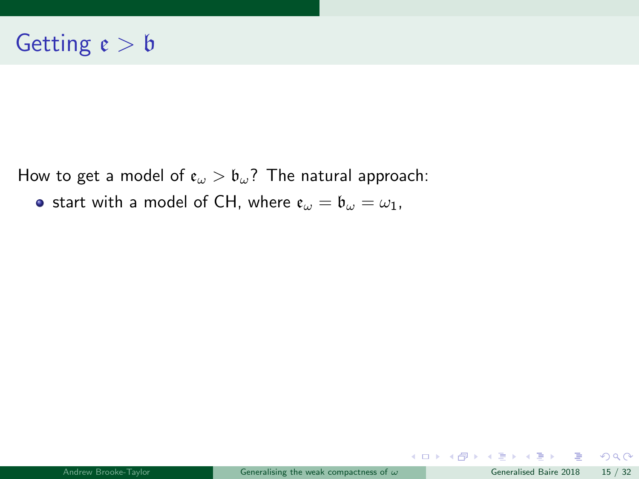How to get a model of  $e_{\omega} > b_{\omega}$ ? The natural approach:

**•** start with a model of CH, where  $e_{\omega} = b_{\omega} = \omega_1$ ,

 $299$ 

メロトメ 倒 トメ ミトメ ミト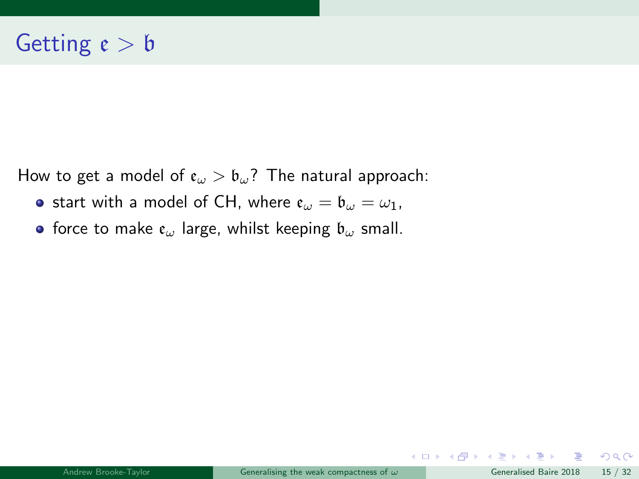How to get a model of  $\epsilon_{\omega} > \epsilon_{\omega}$ ? The natural approach:

- **•** start with a model of CH, where  $e_{\omega} = b_{\omega} = \omega_1$ ,
- force to make  $\mathfrak{e}_{\omega}$  large, whilst keeping  $\mathfrak{b}_{\omega}$  small.

B

 $2990$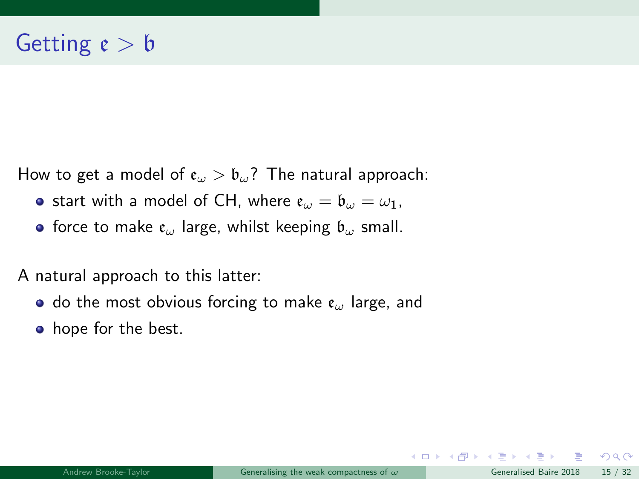How to get a model of  $\mathfrak{e}_{\omega} > \mathfrak{b}_{\omega}$ ? The natural approach:

- **•** start with a model of CH, where  $e_{\omega} = b_{\omega} = \omega_1$ ,
- **•** force to make  $e_{\omega}$  large, whilst keeping  $b_{\omega}$  small.

A natural approach to this latter:

- do the most obvious forcing to make  $e_{\omega}$  large, and
- hope for the best.

 $\Omega$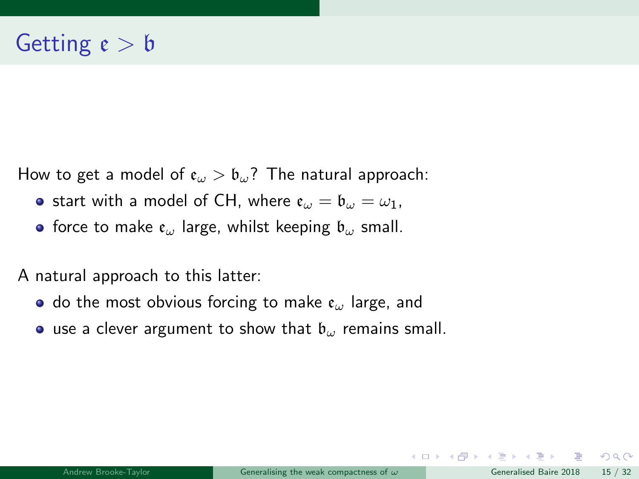How to get a model of  $\mathfrak{e}_{\omega} > \mathfrak{b}_{\omega}$ ? The natural approach:

- **•** start with a model of CH, where  $e_{\omega} = b_{\omega} = \omega_1$ ,
- **•** force to make  $e_{\omega}$  large, whilst keeping  $b_{\omega}$  small.

A natural approach to this latter:

- do the most obvious forcing to make  $e_{\omega}$  large, and
- **•** use a clever argument to show that  $\mathfrak{b}_{\omega}$  remains small.

 $\Omega$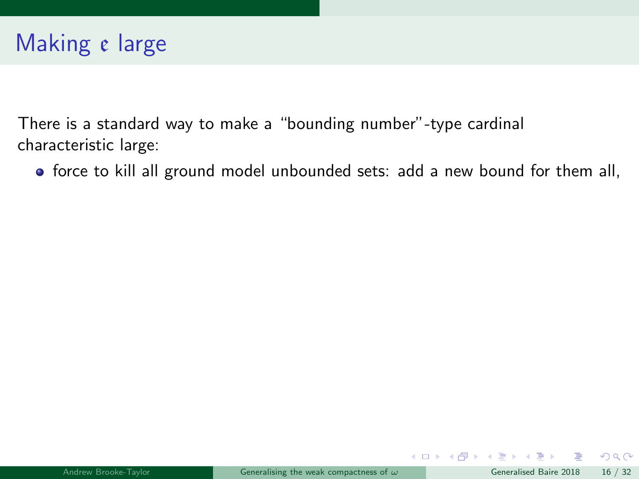force to kill all ground model unbounded sets: add a new bound for them all,

 $\Omega$ 

 $\left\{ \begin{array}{ccc} 1 & 0 & 0 \\ 0 & 1 & 0 \end{array} \right.$   $\left\{ \begin{array}{ccc} 0 & 0 & 0 \\ 0 & 0 & 0 \end{array} \right.$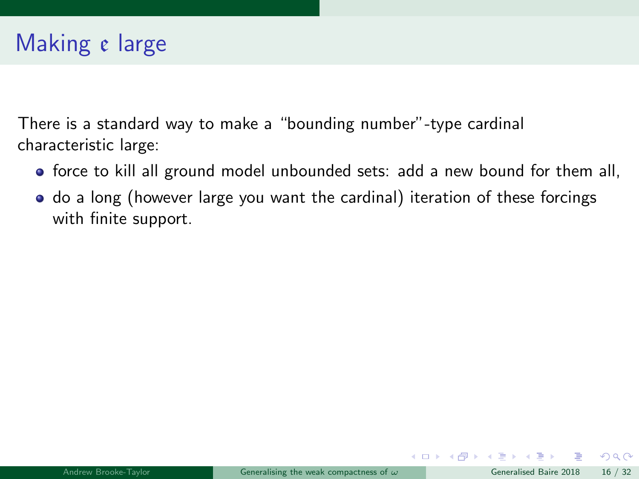- force to kill all ground model unbounded sets: add a new bound for them all,
- $\bullet$  do a long (however large you want the cardinal) iteration of these forcings with finite support.

 $QQ$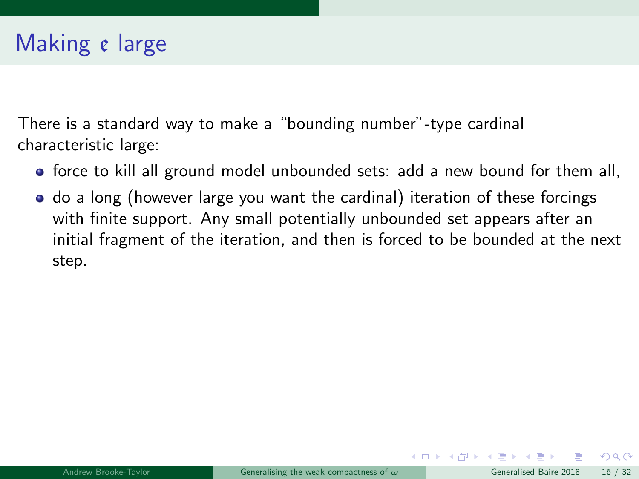- force to kill all ground model unbounded sets: add a new bound for them all,
- do a long (however large you want the cardinal) iteration of these forcings with finite support. Any small potentially unbounded set appears after an initial fragment of the iteration, and then is forced to be bounded at the next step.

 $\Omega$ 

 $\left\{ \begin{array}{ccc} 1 & 0 & 0 \\ 0 & 1 & 0 \end{array} \right.$   $\left\{ \begin{array}{ccc} 0 & 0 & 0 \\ 0 & 0 & 0 \end{array} \right.$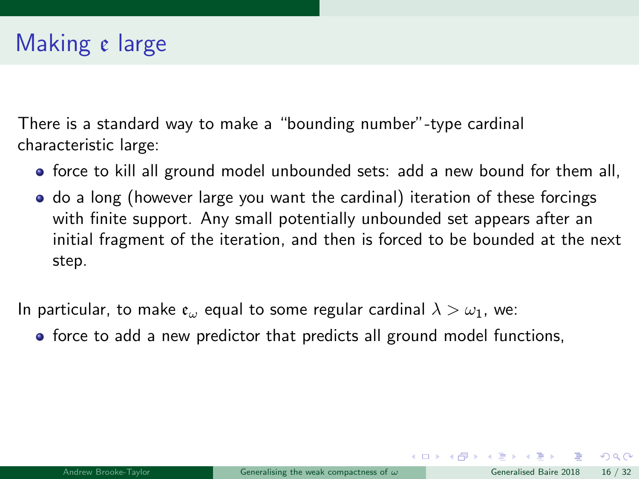- force to kill all ground model unbounded sets: add a new bound for them all,
- do a long (however large you want the cardinal) iteration of these forcings with finite support. Any small potentially unbounded set appears after an initial fragment of the iteration, and then is forced to be bounded at the next step.

In particular, to make  $e_{\omega}$  equal to some regular cardinal  $\lambda > \omega_1$ , we:

• force to add a new predictor that predicts all ground model functions,

 $\Omega$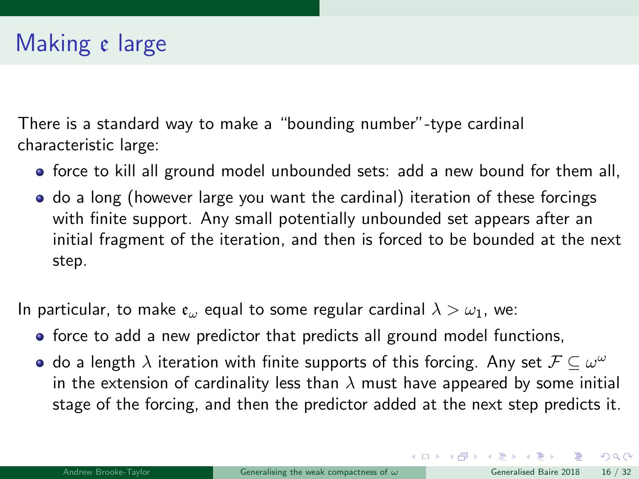- force to kill all ground model unbounded sets: add a new bound for them all,
- do a long (however large you want the cardinal) iteration of these forcings with finite support. Any small potentially unbounded set appears after an initial fragment of the iteration, and then is forced to be bounded at the next step.

In particular, to make  $e_{\omega}$  equal to some regular cardinal  $\lambda > \omega_1$ , we:

- force to add a new predictor that predicts all ground model functions,
- do a length  $\lambda$  iteration with finite supports of this forcing. Any set  $\mathcal{F} \subseteq \omega^\omega$ in the extension of cardinality less than  $\lambda$  must have appeared by some initial stage of the forcing, and then the predictor added at the next step predicts it.

 $\Omega$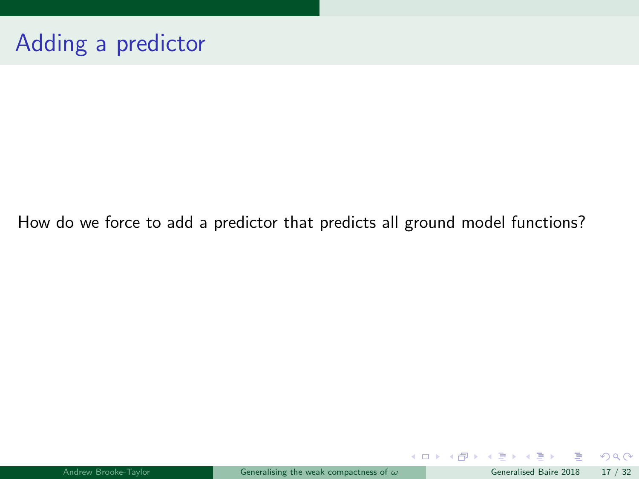How do we force to add a predictor that predicts all ground model functions?

活

 $299$ 

メロトメ 倒 トメ ミトメ ミト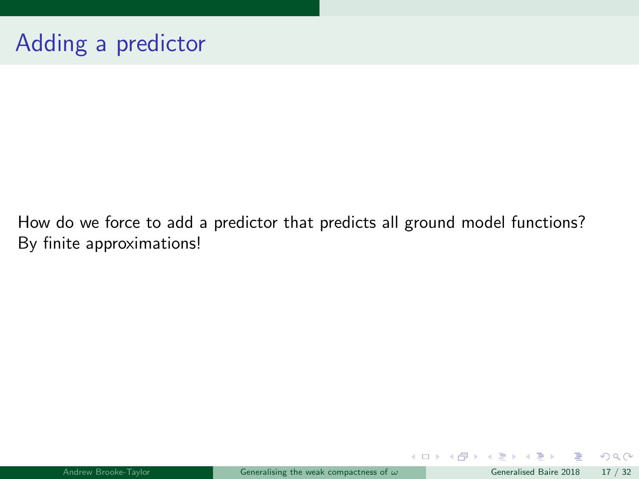How do we force to add a predictor that predicts all ground model functions? By finite approximations!

B

 $QQ$ 

メロト メ御 トメ ヨ トメ ヨト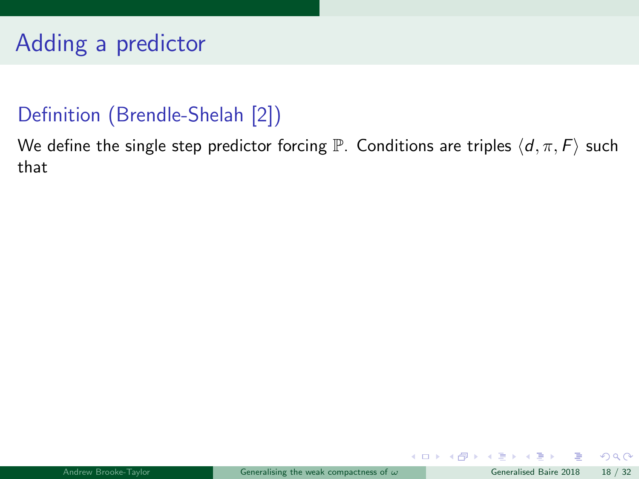#### Definition (Brendle-Shelah [\[2\]](#page-93-1))

<span id="page-54-0"></span>We define the single step predictor forcing  $\mathbb P$ . Conditions are triples  $\langle d, \pi, F \rangle$  such that

画

 $299$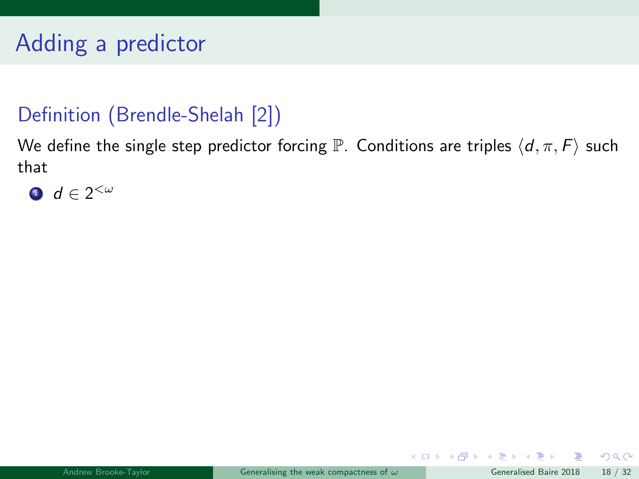#### Definition (Brendle-Shelah [\[2\]](#page-93-1))

We define the single step predictor forcing P. Conditions are triples  $\langle d, \pi, F \rangle$  such that



B

 $\Omega$ 

メロト メ母 トメミト メミト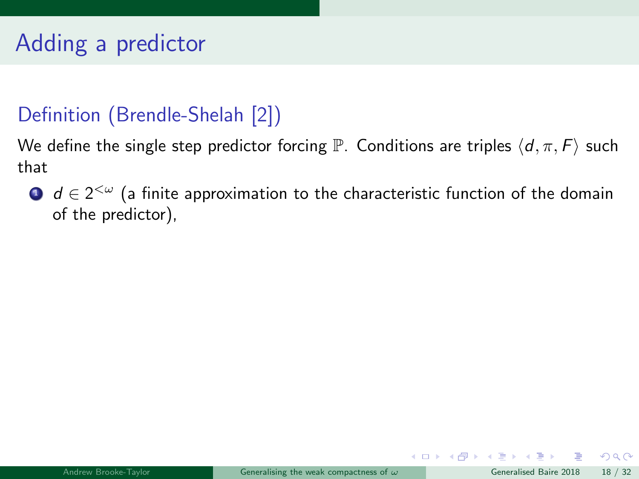#### Definition (Brendle-Shelah [\[2\]](#page-93-1))

We define the single step predictor forcing  $\mathbb P$ . Conditions are triples  $\langle d, \pi, F \rangle$  such that

 $\mathbf{D}$   $\boldsymbol{d} \in 2^{<\omega}$  (a finite approximation to the characteristic function of the domain of the predictor),

B

 $\Omega$ 

メロト メ母 トメミト メミト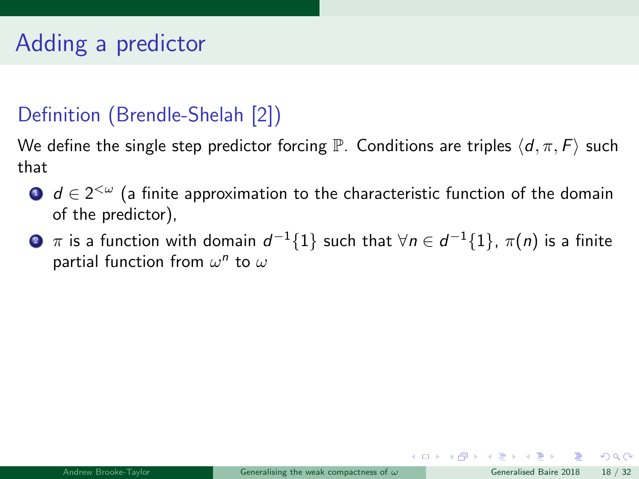#### Definition (Brendle-Shelah [\[2\]](#page-93-1))

We define the single step predictor forcing  $\mathbb P$ . Conditions are triples  $\langle d, \pi, F \rangle$  such that

- $\mathbf{D}$   $\boldsymbol{d} \in 2^{<\omega}$  (a finite approximation to the characteristic function of the domain of the predictor),
- $\bullet$   $\pi$  is a function with domain  $d^{-1}\{1\}$  such that  $\forall n\in d^{-1}\{1\}$ ,  $\pi(n)$  is a finite partial function from  $\omega^n$  to  $\omega$

 $QQ$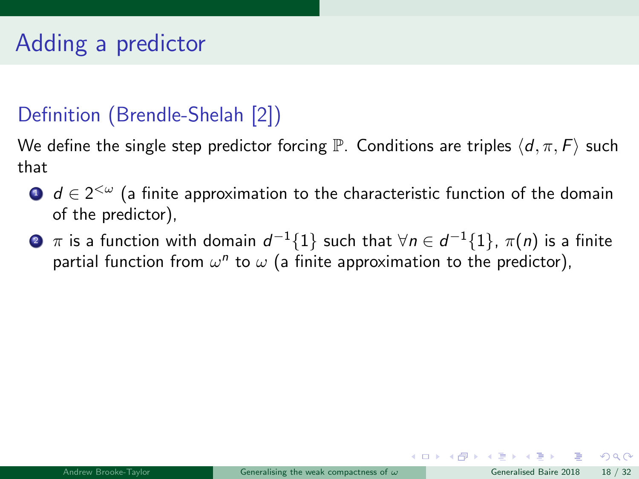#### Definition (Brendle-Shelah [\[2\]](#page-93-1))

We define the single step predictor forcing  $\mathbb P$ . Conditions are triples  $\langle d, \pi, F \rangle$  such that

- $\mathbf{D}$   $\boldsymbol{d} \in 2^{<\omega}$  (a finite approximation to the characteristic function of the domain of the predictor),
- $\bullet$   $\pi$  is a function with domain  $d^{-1}\{1\}$  such that  $\forall n\in d^{-1}\{1\}$ ,  $\pi(n)$  is a finite partial function from  $\omega^n$  to  $\omega$  (a finite approximation to the predictor),

 $QQ$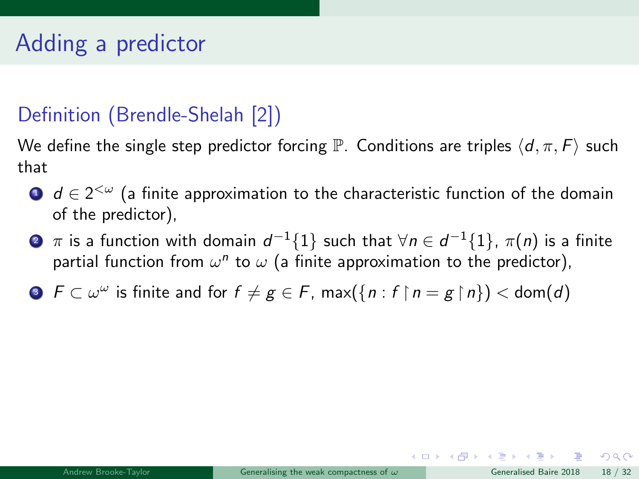#### Definition (Brendle-Shelah [\[2\]](#page-93-1))

We define the single step predictor forcing  $\mathbb P$ . Conditions are triples  $\langle d, \pi, F \rangle$  such that

- $\mathbf{D}$   $\boldsymbol{d} \in 2^{<\omega}$  (a finite approximation to the characteristic function of the domain of the predictor),
- $\bullet$   $\pi$  is a function with domain  $d^{-1}\{1\}$  such that  $\forall n\in d^{-1}\{1\}$ ,  $\pi(n)$  is a finite partial function from  $\omega^n$  to  $\omega$  (a finite approximation to the predictor),
- **3**  $F \subset \omega^\omega$  is finite and for  $f \neq g \in F$ ,  $\max(\{n : f \mid n = g \mid n\}) < \text{dom}(d)$

 $QQ$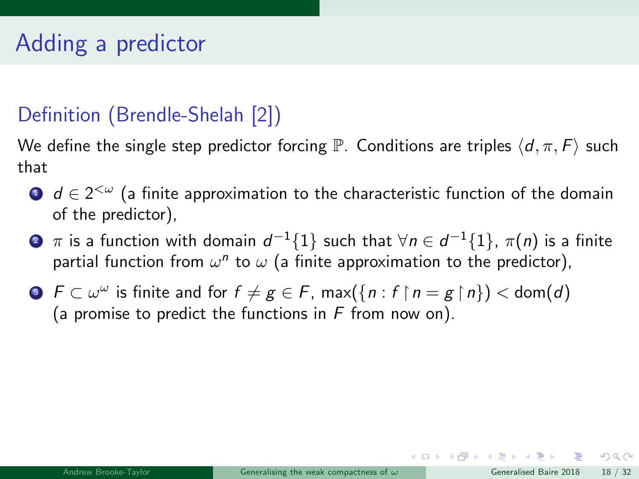#### Definition (Brendle-Shelah [\[2\]](#page-93-1))

We define the single step predictor forcing  $\mathbb P$ . Conditions are triples  $\langle d, \pi, F \rangle$  such that

- $\mathbf{D}$   $\boldsymbol{d} \in 2^{<\omega}$  (a finite approximation to the characteristic function of the domain of the predictor),
- $\bullet$   $\pi$  is a function with domain  $d^{-1}\{1\}$  such that  $\forall n\in d^{-1}\{1\}$ ,  $\pi(n)$  is a finite partial function from  $\omega^n$  to  $\omega$  (a finite approximation to the predictor),
- **3**  $F \subset \omega^\omega$  is finite and for  $f \neq g \in F$ ,  $\max(\{n : f \mid n = g \mid n\}) < \text{dom}(d)$ (a promise to predict the functions in  $F$  from now on).

 $QQ$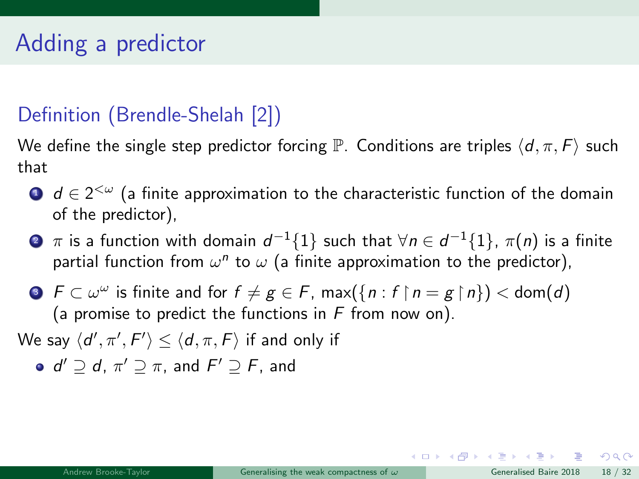#### Definition (Brendle-Shelah [\[2\]](#page-93-1))

We define the single step predictor forcing  $\mathbb P$ . Conditions are triples  $\langle d, \pi, F \rangle$  such that

- $\mathbf{D}$   $\boldsymbol{d} \in 2^{<\omega}$  (a finite approximation to the characteristic function of the domain of the predictor),
- $\bullet$   $\pi$  is a function with domain  $d^{-1}\{1\}$  such that  $\forall n\in d^{-1}\{1\}$ ,  $\pi(n)$  is a finite partial function from  $\omega^n$  to  $\omega$  (a finite approximation to the predictor),
- **3**  $F \subset \omega^\omega$  is finite and for  $f \neq g \in F$ ,  $\max(\{n : f \mid n = g \mid n\}) < \text{dom}(d)$ (a promise to predict the functions in  $F$  from now on).

We say  $\langle d', \pi', F' \rangle \le \langle d, \pi, F \rangle$  if and only if

 $d' \supseteq d$ ,  $\pi' \supseteq \pi$ , and  $F' \supseteq F$ , and

 $QQ$ 

イロト イ何 トイヨ トイヨ トー ヨ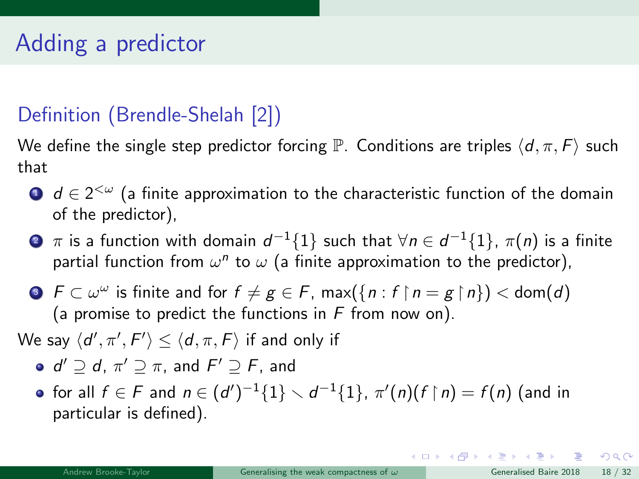### Definition (Brendle-Shelah [\[2\]](#page-93-1))

We define the single step predictor forcing  $\mathbb P$ . Conditions are triples  $\langle d, \pi, F \rangle$  such that

- $\mathbf{D}$   $\boldsymbol{d} \in 2^{<\omega}$  (a finite approximation to the characteristic function of the domain of the predictor),
- $\bullet$   $\pi$  is a function with domain  $d^{-1}\{1\}$  such that  $\forall n\in d^{-1}\{1\}$ ,  $\pi(n)$  is a finite partial function from  $\omega^n$  to  $\omega$  (a finite approximation to the predictor),
- **3**  $F \subset \omega^\omega$  is finite and for  $f \neq g \in F$ ,  $\max(\{n : f \mid n = g \mid n\}) < \text{dom}(d)$ (a promise to predict the functions in  $F$  from now on).
- We say  $\langle d', \pi', F' \rangle \le \langle d, \pi, F \rangle$  if and only if
	- $d' \supseteq d$ ,  $\pi' \supseteq \pi$ , and  $F' \supseteq F$ , and
	- for all  $f\in F$  and  $n\in (d')^{-1}\{1\}\smallsetminus d^{-1}\{1\},$   $\pi'(n)(f\upharpoonright n)=f(n)$  (and in particular is defined).

 $QQ$ 

イロト イ何 ト イヨ ト イヨ トー ヨー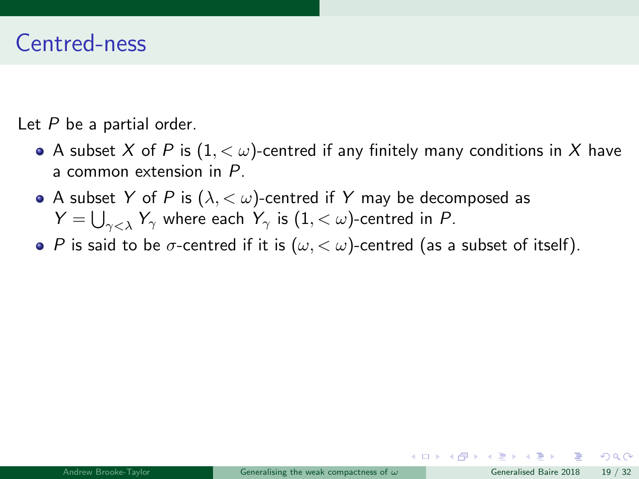### Centred-ness

Let  $P$  be a partial order.

- A subset X of P is  $(1, < \omega)$ -centred if any finitely many conditions in X have a common extension in P.
- A subset Y of P is  $(\lambda, < \omega)$ -centred if Y may be decomposed as  $Y=\bigcup_{\gamma<\lambda}Y_\gamma$  where each  $Y_\gamma$  is  $(1,<\omega)$ -centred in  $P$ .
- P is said to be  $\sigma$ -centred if it is  $(\omega, < \omega)$ -centred (as a subset of itself).

 $\Omega$ 

メロト メ押 トメミトメミ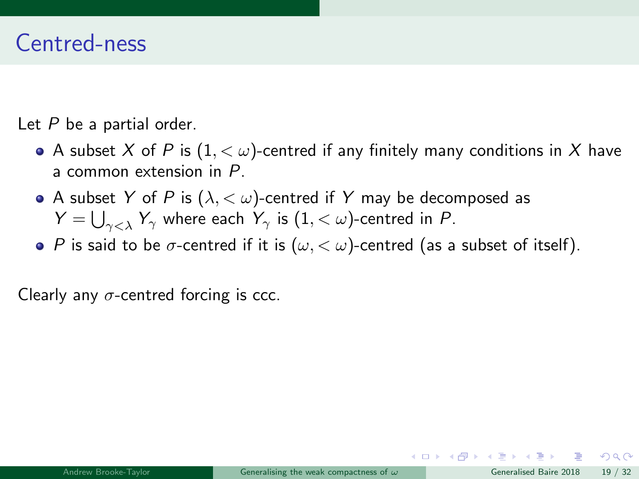### Centred-ness

Let  $P$  be a partial order.

- A subset X of P is  $(1, < \omega)$ -centred if any finitely many conditions in X have a common extension in P.
- A subset Y of P is  $(\lambda, < \omega)$ -centred if Y may be decomposed as  $Y=\bigcup_{\gamma<\lambda}Y_\gamma$  where each  $Y_\gamma$  is  $(1,<\omega)$ -centred in  $P$ .
- P is said to be  $\sigma$ -centred if it is  $(\omega, < \omega)$ -centred (as a subset of itself).

Clearly any  $\sigma$ -centred forcing is ccc.

 $\Omega$ 

メロト メ何 トメ ヨ トメ ヨ ト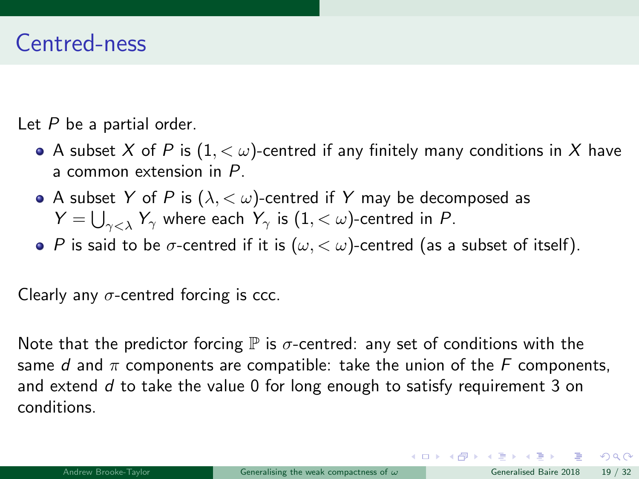### Centred-ness

Let  $P$  be a partial order.

- A subset X of P is  $(1, < \omega)$ -centred if any finitely many conditions in X have a common extension in P.
- A subset Y of P is  $(\lambda, < \omega)$ -centred if Y may be decomposed as  $Y=\bigcup_{\gamma<\lambda}Y_\gamma$  where each  $Y_\gamma$  is  $(1,<\omega)$ -centred in  $P$ .
- P is said to be  $\sigma$ -centred if it is  $(\omega, < \omega)$ -centred (as a subset of itself).

Clearly any  $\sigma$ -centred forcing is ccc.

Note that the predictor forcing  $\mathbb P$  is  $\sigma$ -centred: any set of conditions with the same d and  $\pi$  components are compatible: take the union of the F components, and extend  $d$  to take the value 0 for long enough to satisfy requirement [3](#page-54-0) on conditions.

 $\Omega$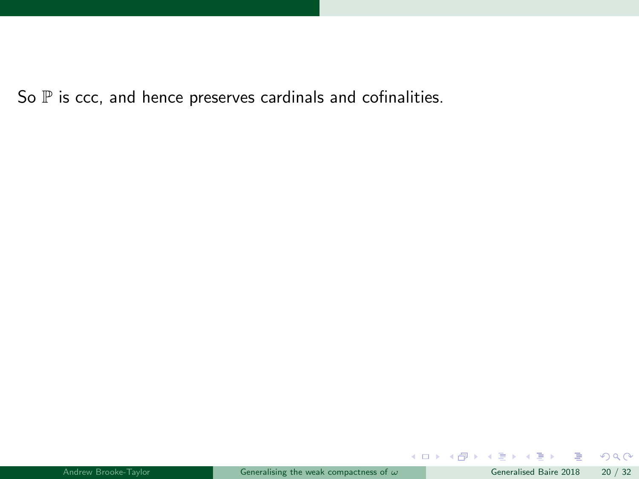So  $P$  is ccc, and hence preserves cardinals and cofinalities.

重

 $299$ 

メロトメ 倒 トメ ミトメ ミト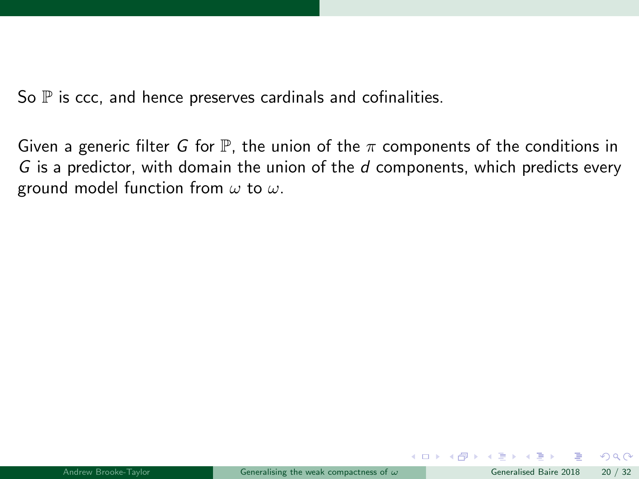So  $P$  is ccc, and hence preserves cardinals and cofinalities.

Given a generic filter G for  $\mathbb P$ , the union of the  $\pi$  components of the conditions in  $G$  is a predictor, with domain the union of the  $d$  components, which predicts every ground model function from  $\omega$  to  $\omega$ .

 $\Omega$ 

イロト イ押 トイヨ トイヨ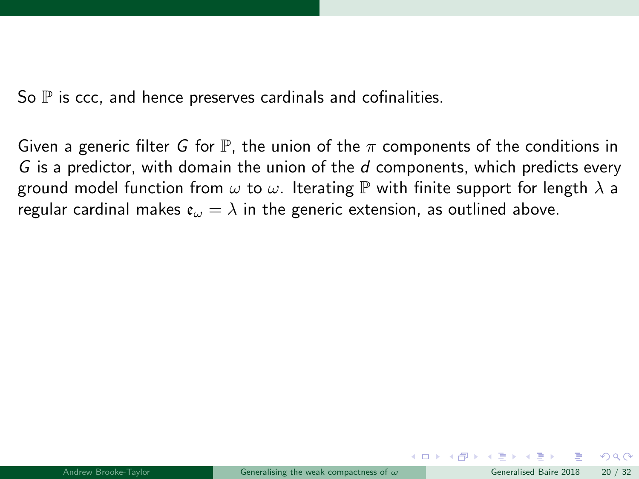So  $\mathbb P$  is ccc, and hence preserves cardinals and cofinalities.

Given a generic filter G for  $\mathbb{P}$ , the union of the  $\pi$  components of the conditions in  $G$  is a predictor, with domain the union of the  $d$  components, which predicts every ground model function from  $\omega$  to  $\omega$ . Iterating  $\mathbb P$  with finite support for length  $\lambda$  a regular cardinal makes  $\mathfrak{e}_{\omega} = \lambda$  in the generic extension, as outlined above.

 $\Omega$ 

イロト イ押 トイヨ トイヨ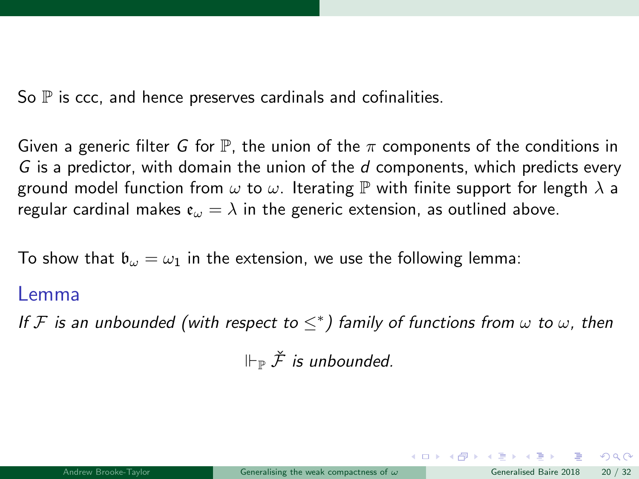So  $\mathbb P$  is ccc, and hence preserves cardinals and cofinalities.

Given a generic filter G for  $\mathbb{P}$ , the union of the  $\pi$  components of the conditions in G is a predictor, with domain the union of the  $d$  components, which predicts every ground model function from  $\omega$  to  $\omega$ . Iterating  $\mathbb P$  with finite support for length  $\lambda$  a regular cardinal makes  $\mathfrak{e}_{\omega} = \lambda$  in the generic extension, as outlined above.

To show that  $\mathfrak{b}_{\omega} = \omega_1$  in the extension, we use the following lemma:

#### Lemma

If F is an unbounded (with respect to  $\leq^*$ ) family of functions from  $\omega$  to  $\omega$ , then

 $\Vdash_{\mathbb{P}} \check{\mathcal{F}}$  is unbounded.

 $QQ$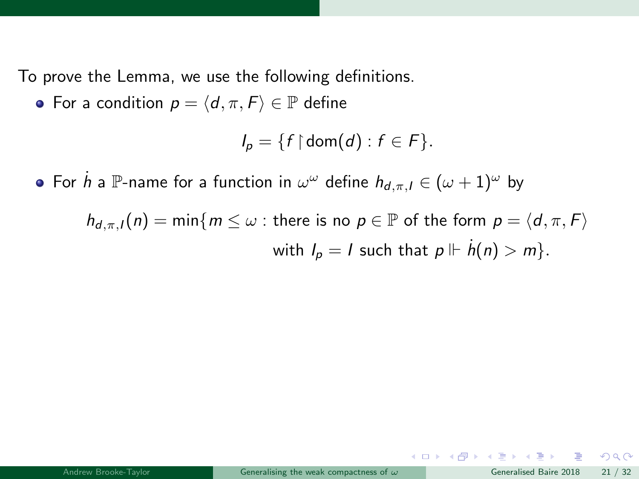To prove the Lemma, we use the following definitions.

• For a condition  $p = \langle d, \pi, F \rangle \in \mathbb{P}$  define

$$
I_p = \{f \mid \mathsf{dom}(d) : f \in F\}.
$$

For  $\dot{h}$  a  $\mathbb P$ -name for a function in  $\omega^\omega$  define  $h_{d,\pi,I}\in (\omega+1)^\omega$  by

 $h_{d,\pi,l}(n) = \min\{m \leq \omega : \text{there is no } p \in \mathbb{P} \text{ of the form } p = \langle d, \pi, F \rangle$ with  $I_p = I$  such that  $p \Vdash \dot{h}(n) > m$ .

 $209$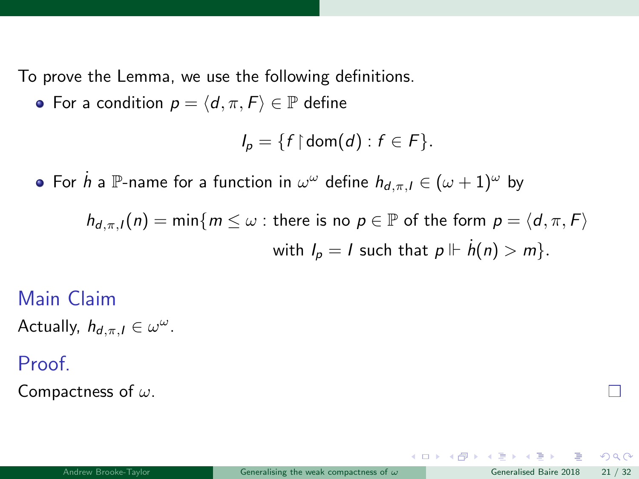To prove the Lemma, we use the following definitions.

• For a condition  $p = \langle d, \pi, F \rangle \in \mathbb{P}$  define

$$
I_p = \{f \mid \mathsf{dom}(d) : f \in F\}.
$$

For  $\dot{h}$  a  $\mathbb P$ -name for a function in  $\omega^\omega$  define  $h_{d,\pi,I}\in (\omega+1)^\omega$  by

 $h_{d,\pi,l}(n) = \min\{m \leq \omega : \text{there is no } p \in \mathbb{P} \text{ of the form } p = \langle d, \pi, F \rangle$ with  $I_p = I$  such that  $p \Vdash \dot{h}(n) > m$ .

Main Claim Actually,  $h_{d,\pi,I} \in \omega^\omega$ .

Proof.

Compactness of  $\omega$ .

 $209$ 

 $\left\{ \begin{array}{ccc} 1 & 0 & 0 \\ 0 & 1 & 0 \end{array} \right\}$  ,  $\left\{ \begin{array}{ccc} 0 & 0 & 0 \\ 0 & 0 & 0 \end{array} \right\}$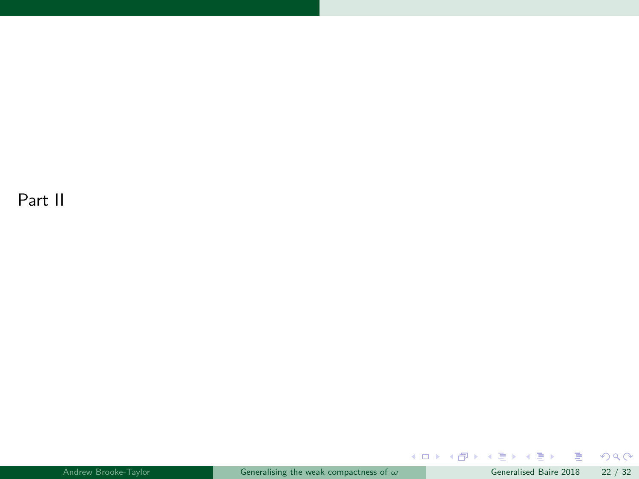Part II

 $299$ 

メロトメ 御 トメ ミトメ ミトリ (毛)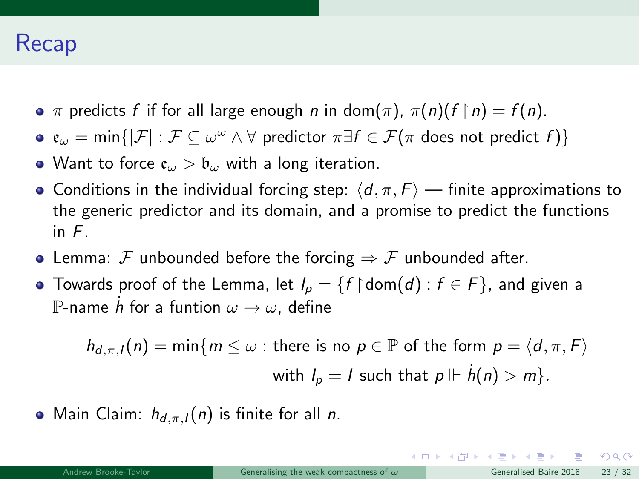## Recap

- $\pi$  predicts f if for all large enough n in dom $(\pi)$ ,  $\pi(n)(f \upharpoonright n) = f(n)$ .
- $\mathfrak{e}_\omega = \min\{|\mathcal{F}| : \mathcal{F} \subseteq \omega^\omega \wedge \forall \, \text{predictor} \, \pi \exists f \in \mathcal{F}(\pi \text{ does not predict } f)\}$
- Want to force  $\mathfrak{e}_{\omega} > \mathfrak{b}_{\omega}$  with a long iteration.
- Conditions in the individual forcing step:  $\langle d, \pi, F \rangle$  finite approximations to the generic predictor and its domain, and a promise to predict the functions in F.
- Lemma: F unbounded before the forcing  $\Rightarrow$  F unbounded after.
- Towards proof of the Lemma, let  $I_p = \{f \restriction \text{dom}(d) : f \in F\}$ , and given a  $\mathbb P$ -name  $\dot h$  for a funtion  $\omega\to\omega$ , define

$$
h_{d,\pi,l}(n) = \min\{m \leq \omega : \text{there is no } p \in \mathbb{P} \text{ of the form } p = \langle d, \pi, F \rangle
$$
  
with  $l_p = l$  such that  $p \Vdash \dot{h}(n) > m\}.$ 

• Main Claim:  $h_{d,\pi,l}(n)$  is finite for all *n*.

 $QQ$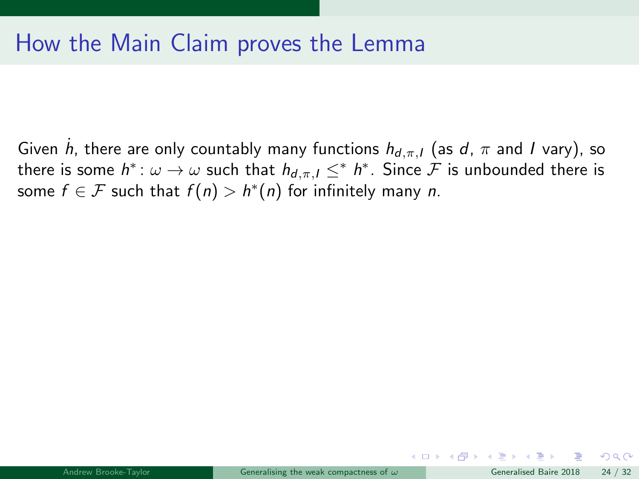Given  $\dot{h}$ , there are only countably many functions  $h_{d,\pi,I}$  (as  $d$ ,  $\pi$  and  $I$  vary), so there is some  $h^*\colon\omega\to\omega$  such that  $h_{d,\pi,I}\le^* h^*$ . Since  ${\mathcal F}$  is unbounded there is some  $f \in \mathcal{F}$  such that  $f(n) > h^*(n)$  for infinitely many n.

 $\Omega$ 

メロト メ押 トメミトメミ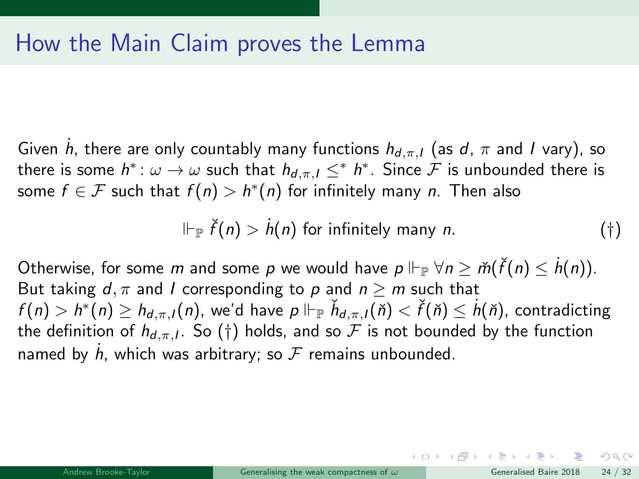Given  $\dot{h}$ , there are only countably many functions  $h_{d,\pi,I}$  (as  $d$ ,  $\pi$  and  $I$  vary), so there is some  $h^*\colon\omega\to\omega$  such that  $h_{d,\pi,I}\le^* h^*$ . Since  ${\mathcal F}$  is unbounded there is some  $f \in \mathcal{F}$  such that  $f(n) > h^*(n)$  for infinitely many  $n$ . Then also

$$
\Vdash_{\mathbb{P}} \check{f}(n) > \dot{h}(n) \text{ for infinitely many } n. \tag{\dagger}
$$

Otherwise, for some  $m$  and some  $p$  we would have  $p \Vdash_{\mathbb{P}} \forall n \geq \check{m}(\check{f}(n) \leq \dot{h}(n)).$ But taking  $d, \pi$  and I corresponding to p and  $n > m$  such that  $f(n)>h^*(n)\geq h_{d,\pi,l}(n)$ , we'd have  $p\Vdash_{\mathbb{P}}\check{h}_{d,\pi,l}(\check{n})<\check{f}(\check{n})\leq\dot{h}(\check{n})$ , contradicting the definition of  $h_{d,\pi,I}.$  So  $(\dagger)$  holds, and so  ${\cal F}$  is not bounded by the function named by  $\dot{h}$ , which was arbitrary; so  ${\cal F}$  remains unbounded.

 $\Omega$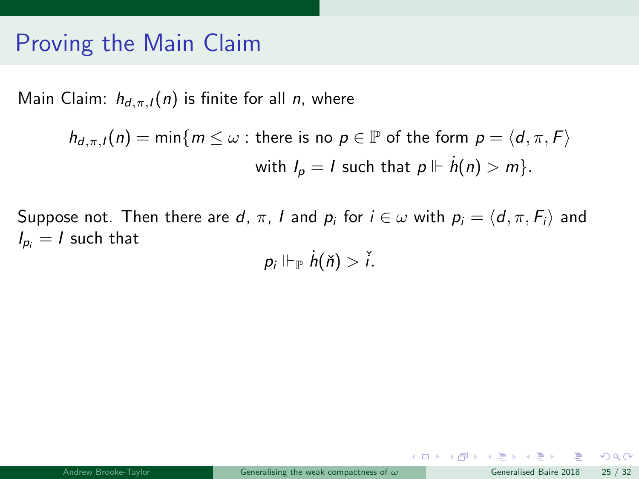## Proving the Main Claim

Main Claim:  $h_{d,\pi,l}(n)$  is finite for all *n*, where

$$
h_{d,\pi,l}(n) = \min\{m \leq \omega : \text{there is no } p \in \mathbb{P} \text{ of the form } p = \langle d, \pi, F \rangle
$$
  
with  $l_p = l$  such that  $p \Vdash \dot{h}(n) > m\}.$ 

Suppose not. Then there are d,  $\pi$ , I and  $p_i$  for  $i \in \omega$  with  $p_i = \langle d, \pi, F_i \rangle$  and  $I_{p_i} = I$  such that

 $p_i \Vdash_{\mathbb{P}} \dot{h}(\check{n}) > \check{i}.$ 

 $2990$ 

メロト メ御 トメ ヨ トメ ヨト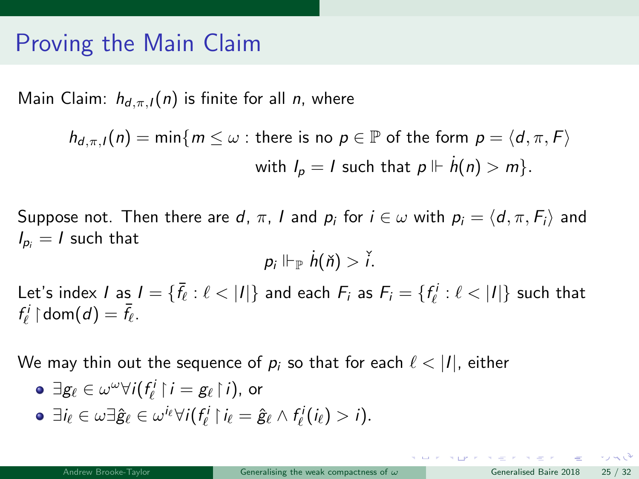## Proving the Main Claim

Main Claim:  $h_{d,\pi,l}(n)$  is finite for all *n*, where

$$
h_{d,\pi,l}(n) = \min\{m \leq \omega : \text{there is no } p \in \mathbb{P} \text{ of the form } p = \langle d, \pi, F \rangle
$$
  
with  $l_p = l$  such that  $p \Vdash \dot{h}(n) > m\}.$ 

Suppose not. Then there are d,  $\pi$ , I and  $p_i$  for  $i \in \omega$  with  $p_i = \langle d, \pi, F_i \rangle$  and  $I_{p_i} = I$  such that

$$
p_i \Vdash_{\mathbb{P}} \dot{h}(\check{n}) > \check{i}.
$$

Let's index  $I$  as  $I = \{\bar{f}_\ell : \ell < |I|\}$  and each  $F_i$  as  $F_i = \{f_\ell^i : \ell < |I|\}$  such that  $f^i_\ell \restriction \mathsf{dom}(d) = \bar{f}_\ell.$ 

We may thin out the sequence of  $p_i$  so that for each  $\ell < |I|$ , either

$$
\bullet \ \exists g_{\ell} \in \omega^{\omega} \forall i (f_{\ell}^{i} \upharpoonright i = g_{\ell} \upharpoonright i), \text{ or}
$$

 $\exists i_\ell \in \omega \exists \hat{g}_\ell \in \omega^{i_\ell} \forall i (f_\ell^i \restriction i_\ell = \hat{g}_\ell \land f_\ell^i(i_\ell) > i).$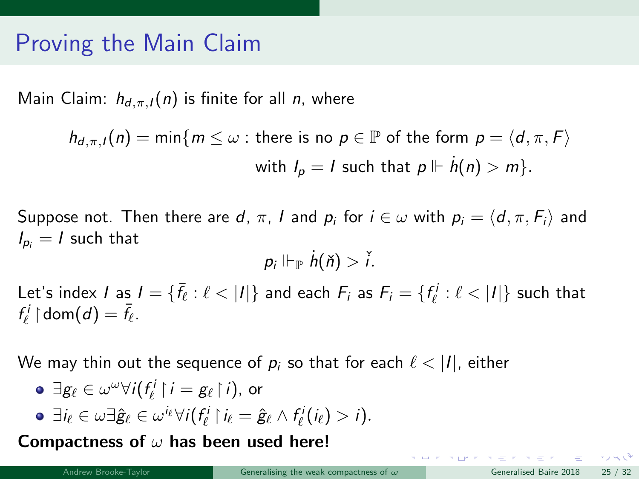## Proving the Main Claim

Main Claim:  $h_{d,\pi,l}(n)$  is finite for all *n*, where

$$
h_{d,\pi,l}(n) = \min\{m \leq \omega : \text{there is no } p \in \mathbb{P} \text{ of the form } p = \langle d, \pi, F \rangle
$$
  
with  $l_p = l$  such that  $p \Vdash \dot{h}(n) > m\}.$ 

Suppose not. Then there are d,  $\pi$ , I and  $p_i$  for  $i \in \omega$  with  $p_i = \langle d, \pi, F_i \rangle$  and  $I_{p_i} = I$  such that

$$
p_i \Vdash_{\mathbb{P}} \dot{h}(\check{n}) > \check{i}.
$$

Let's index  $I$  as  $I = \{\bar{f}_\ell : \ell < |I|\}$  and each  $F_i$  as  $F_i = \{f_\ell^i : \ell < |I|\}$  such that  $f^i_\ell \restriction \mathsf{dom}(d) = \bar{f}_\ell.$ 

We may thin out the sequence of  $p_i$  so that for each  $\ell < |I|$ , either

• 
$$
\exists g_{\ell} \in \omega^{\omega} \forall i (f_{\ell}^{i} \upharpoonright i = g_{\ell} \upharpoonright i)
$$
, or

$$
\bullet \ \exists i_{\ell} \in \omega \exists \hat{g}_{\ell} \in \omega^{i_{\ell}} \forall i (f_{\ell}^{i} \mid i_{\ell} = \hat{g}_{\ell} \wedge f_{\ell}^{i}(i_{\ell}) > i).
$$

Compactness of  $\omega$  has been used here!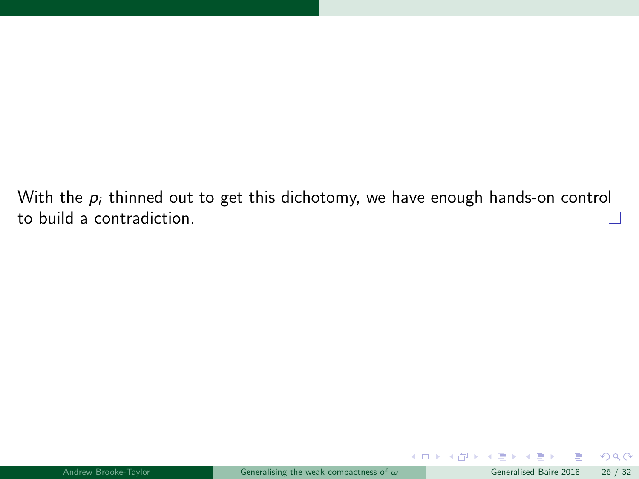With the  $p_i$  thinned out to get this dichotomy, we have enough hands-on control to build a contradiction.

B

 $299$ 

 $A \square$   $B$   $A$   $B$   $B$   $A$   $B$   $B$   $A$   $B$   $B$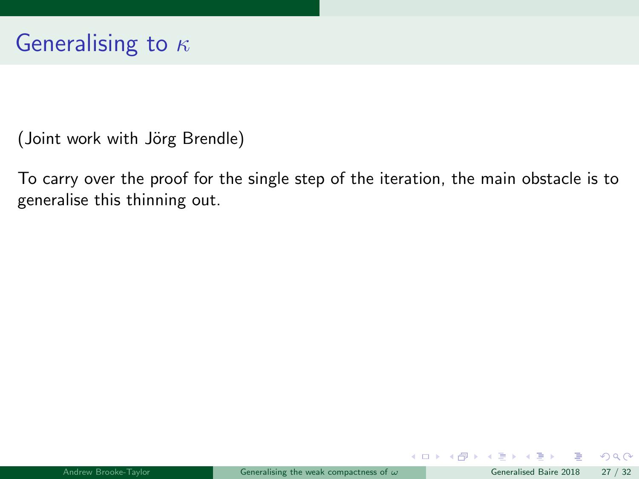(Joint work with Jörg Brendle)

To carry over the proof for the single step of the iteration, the main obstacle is to generalise this thinning out.

 $\Omega$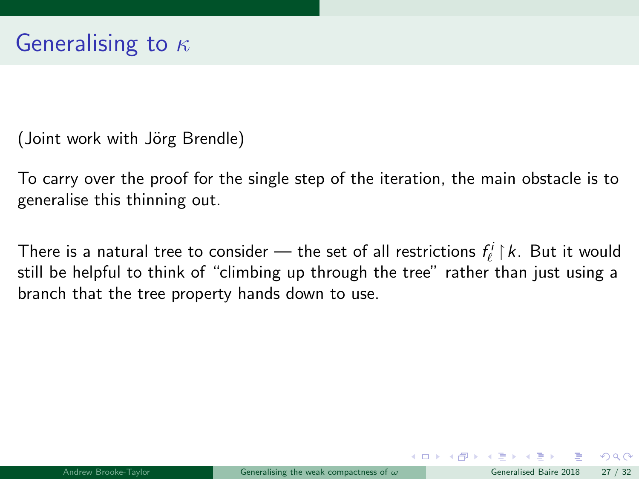(Joint work with Jörg Brendle)

To carry over the proof for the single step of the iteration, the main obstacle is to generalise this thinning out.

There is a natural tree to consider — the set of all restrictions  $f^i_\ell \restriction k.$  But it would still be helpful to think of "climbing up through the tree" rather than just using a branch that the tree property hands down to use.

 $\Omega$ 

 $\left\{ \begin{array}{ccc} 1 & 0 & 0 \\ 0 & 1 & 0 \end{array} \right\}$  ,  $\left\{ \begin{array}{ccc} 0 & 0 & 0 \\ 0 & 0 & 0 \end{array} \right\}$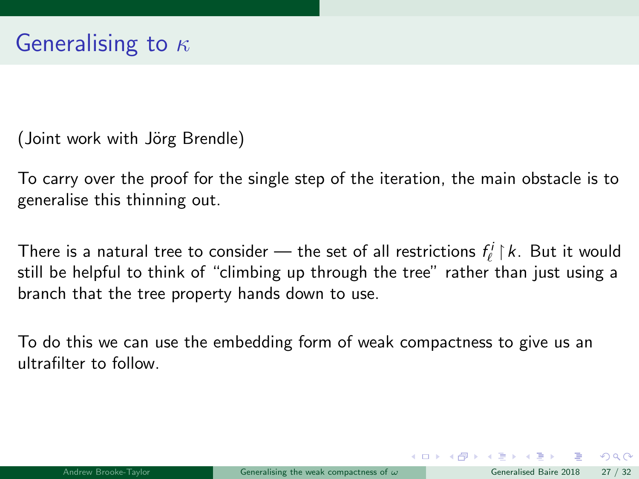(Joint work with Jörg Brendle)

To carry over the proof for the single step of the iteration, the main obstacle is to generalise this thinning out.

There is a natural tree to consider — the set of all restrictions  $f^i_\ell \restriction k.$  But it would still be helpful to think of "climbing up through the tree" rather than just using a branch that the tree property hands down to use.

To do this we can use the embedding form of weak compactness to give us an ultrafilter to follow.

 $\Omega$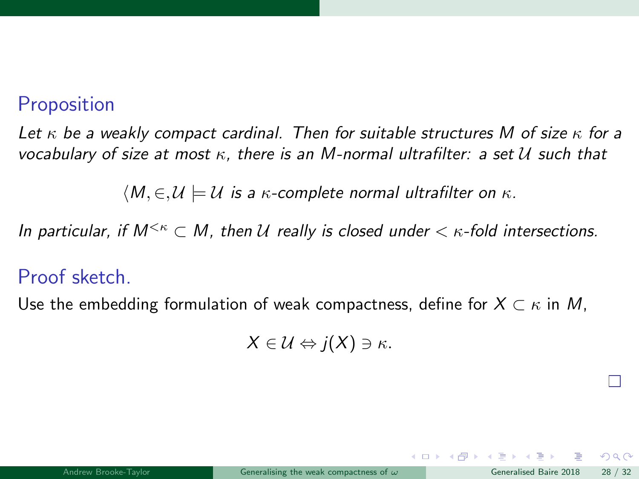### **Proposition**

Let  $\kappa$  be a weakly compact cardinal. Then for suitable structures M of size  $\kappa$  for a vocabulary of size at most  $\kappa$ , there is an M-normal ultrafilter: a set U such that

 $\langle M, \in, \mathcal{U} \models \mathcal{U}$  is a  $\kappa$ -complete normal ultrafilter on  $\kappa$ .

In particular, if  $M^{<\kappa} \subset M$ , then U really is closed under  $< \kappa$ -fold intersections.

### Proof sketch.

Use the embedding formulation of weak compactness, define for  $X \subset \kappa$  in M,

$$
X\in\mathcal{U}\Leftrightarrow j(X)\ni\kappa.
$$

 $\Omega$ 

 $4$  O  $\rightarrow$   $4$   $\overline{m}$   $\rightarrow$   $4$   $\overline{m}$   $\rightarrow$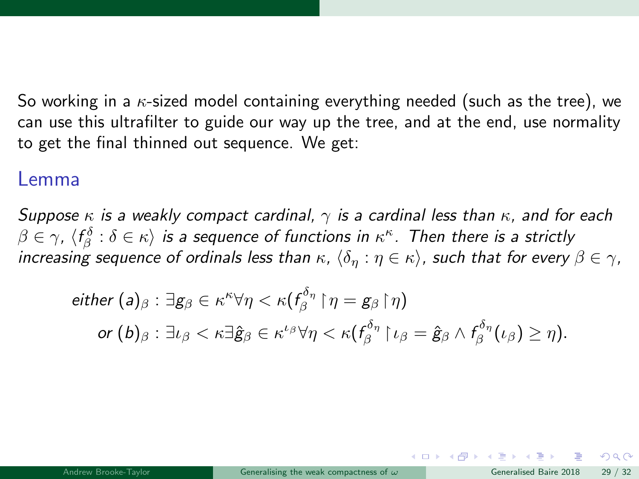So working in a  $\kappa$ -sized model containing everything needed (such as the tree), we can use this ultrafilter to guide our way up the tree, and at the end, use normality to get the final thinned out sequence. We get:

#### Lemma

Suppose  $\kappa$  is a weakly compact cardinal,  $\gamma$  is a cardinal less than  $\kappa$ , and for each  $\beta\in\gamma$ ,  $\langle f^\delta_\beta:\delta\in\kappa\rangle$  is a sequence of functions in  $\kappa^\kappa$ . Then there is a strictly increasing sequence of ordinals less than  $\kappa$ ,  $\{\delta_n : \eta \in \kappa\}$ , such that for every  $\beta \in \gamma$ ,

$$
\begin{aligned}\n\text{either } (\mathsf{a})_{\beta}: \exists \mathsf{g}_{\beta} \in \kappa^{\kappa} \forall \eta < \kappa (f^{\delta_{\eta}}_{\beta} \upharpoonright \eta = \mathsf{g}_{\beta} \upharpoonright \eta) \\
\text{or } (\mathsf{b})_{\beta}: \exists \iota_{\beta} < \kappa \exists \hat{\mathsf{g}}_{\beta} \in \kappa^{\iota_{\beta}} \forall \eta < \kappa (f^{\delta_{\eta}}_{\beta} \upharpoonright \iota_{\beta} = \hat{\mathsf{g}}_{\beta} \wedge f^{\delta_{\eta}}_{\beta}(\iota_{\beta}) \geq \eta).\n\end{aligned}
$$

 $\Omega$ 

イロト イ押ト イヨト イ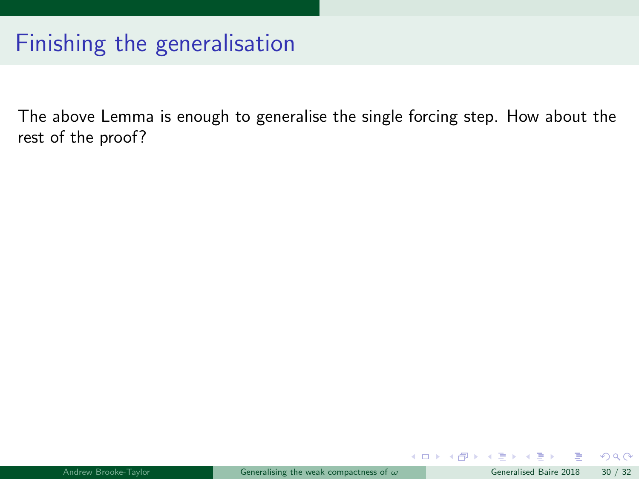# Finishing the generalisation

The above Lemma is enough to generalise the single forcing step. How about the rest of the proof?

B

 $299$ 

 $\left\{ \begin{array}{ccc} 1 & 0 & 0 \\ 0 & 1 & 0 \end{array} \right\}$  ,  $\left\{ \begin{array}{ccc} 0 & 0 & 0 \\ 0 & 0 & 0 \end{array} \right\}$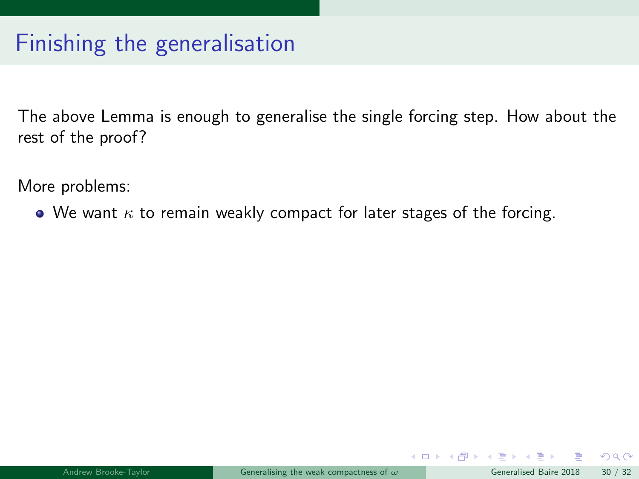# Finishing the generalisation

The above Lemma is enough to generalise the single forcing step. How about the rest of the proof?

More problems:

 $\bullet$  We want  $\kappa$  to remain weakly compact for later stages of the forcing.

 $\left\{ \begin{array}{ccc} \square & \rightarrow & \left\{ \bigcap \mathbb{P} \right\} & \left\{ \begin{array}{ccc} \square & \rightarrow & \left\{ \end{array} \right\} \end{array} \right.$ 

 $QQ$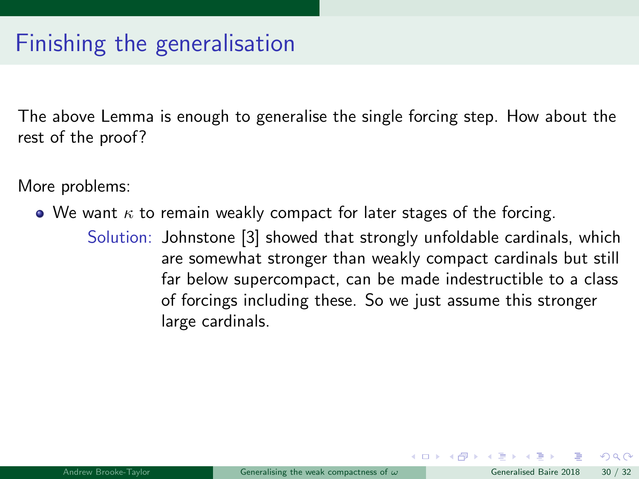# Finishing the generalisation

The above Lemma is enough to generalise the single forcing step. How about the rest of the proof?

More problems:

- $\bullet$  We want  $\kappa$  to remain weakly compact for later stages of the forcing.
	- Solution: Johnstone [\[3\]](#page-93-0) showed that strongly unfoldable cardinals, which are somewhat stronger than weakly compact cardinals but still far below supercompact, can be made indestructible to a class of forcings including these. So we just assume this stronger large cardinals.

 $\Omega$ 

イロト イ押 ト イヨ ト イヨ)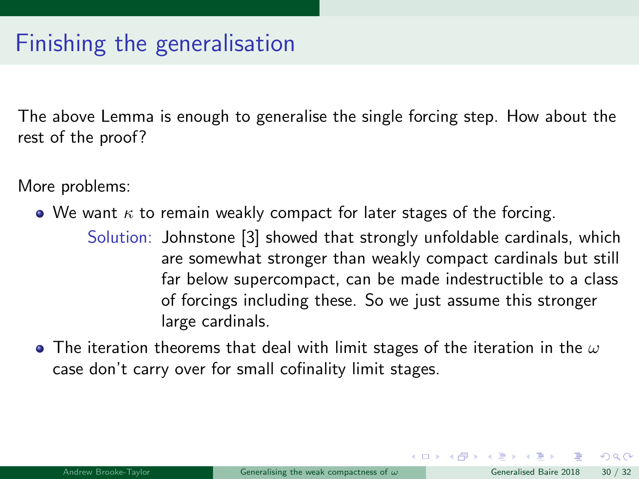The above Lemma is enough to generalise the single forcing step. How about the rest of the proof?

More problems:

- $\bullet$  We want  $\kappa$  to remain weakly compact for later stages of the forcing.
	- Solution: Johnstone [\[3\]](#page-93-0) showed that strongly unfoldable cardinals, which are somewhat stronger than weakly compact cardinals but still far below supercompact, can be made indestructible to a class of forcings including these. So we just assume this stronger large cardinals.
- The iteration theorems that deal with limit stages of the iteration in the  $\omega$ case don't carry over for small cofinality limit stages.

 $\Omega$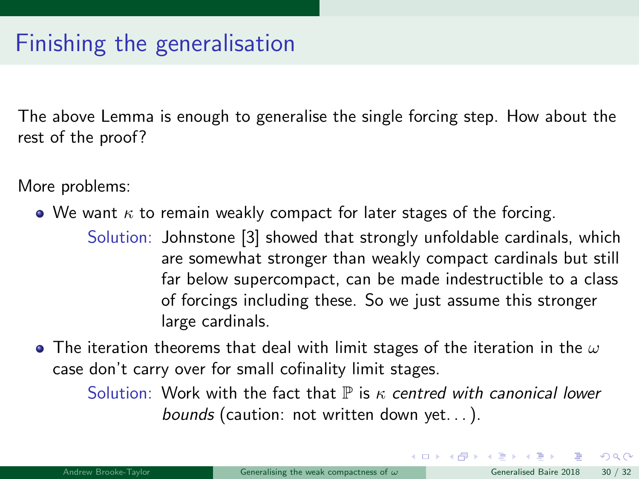The above Lemma is enough to generalise the single forcing step. How about the rest of the proof?

More problems:

- $\bullet$  We want  $\kappa$  to remain weakly compact for later stages of the forcing.
	- Solution: Johnstone [\[3\]](#page-93-0) showed that strongly unfoldable cardinals, which are somewhat stronger than weakly compact cardinals but still far below supercompact, can be made indestructible to a class of forcings including these. So we just assume this stronger large cardinals.
- The iteration theorems that deal with limit stages of the iteration in the  $\omega$ case don't carry over for small cofinality limit stages.

Solution: Work with the fact that  $\mathbb P$  is  $\kappa$  centred with canonical lower bounds (caution: not written down yet. . . ).

 $\Omega$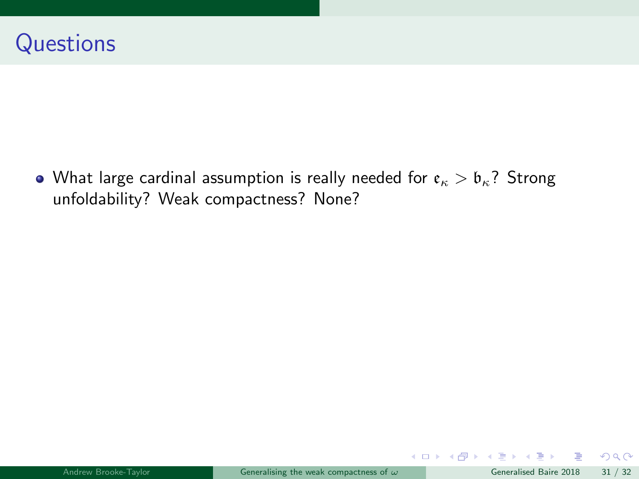• What large cardinal assumption is really needed for  $\mathfrak{e}_{\kappa} > \mathfrak{b}_{\kappa}$ ? Strong unfoldability? Weak compactness? None?

B

 $299$ 

メロト メ御 トメ ヨ トメ ヨト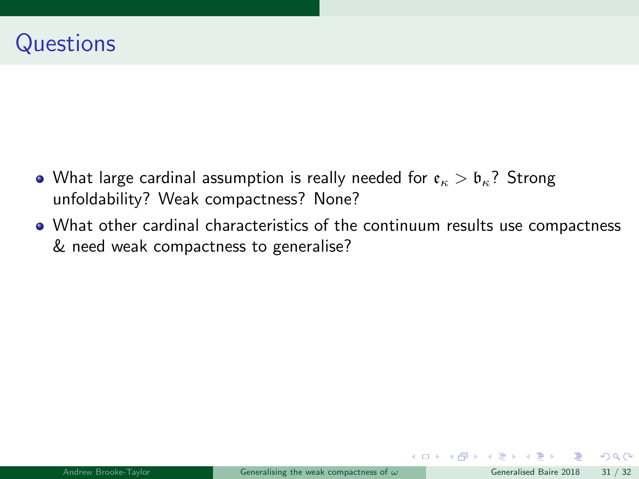- What large cardinal assumption is really needed for  $\epsilon_{\kappa} > \mathfrak{b}_{\kappa}$ ? Strong unfoldability? Weak compactness? None?
- What other cardinal characteristics of the continuum results use compactness & need weak compactness to generalise?

 $\Omega$ 

 $\left\{ \begin{array}{ccc} \square & \rightarrow & \left\{ \bigcap \mathbb{P} \right\} & \left\{ \begin{array}{ccc} \square & \rightarrow & \left\{ \end{array} \right\} \end{array} \right.$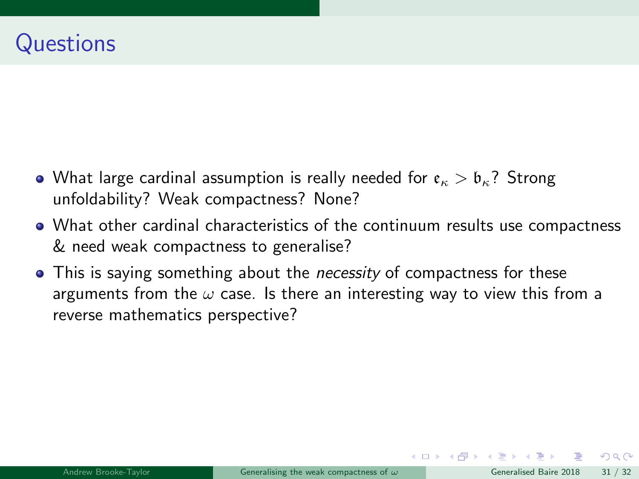- What large cardinal assumption is really needed for  $\epsilon_{\kappa} > \mathfrak{b}_{\kappa}$ ? Strong unfoldability? Weak compactness? None?
- What other cardinal characteristics of the continuum results use compactness & need weak compactness to generalise?
- This is saying something about the *necessity* of compactness for these arguments from the  $\omega$  case. Is there an interesting way to view this from a reverse mathematics perspective?

 $\Omega$ 

イロト イ押 ト イヨ ト イヨ)